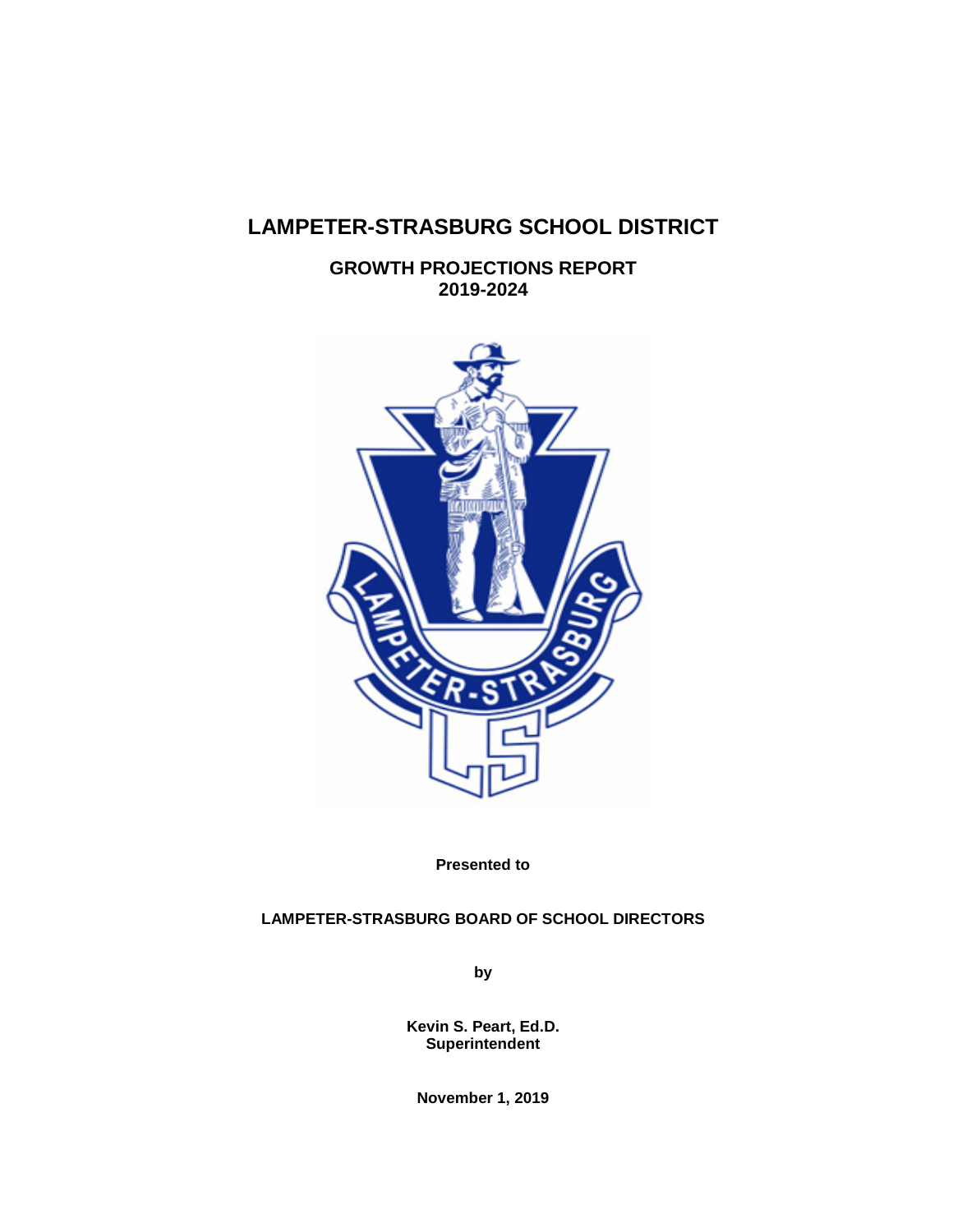# **LAMPETER-STRASBURG SCHOOL DISTRICT**

**GROWTH PROJECTIONS REPORT 2019-2024**



**Presented to**

# **LAMPETER-STRASBURG BOARD OF SCHOOL DIRECTORS**

**by**

**Kevin S. Peart, Ed.D. Superintendent**

**November 1, 2019**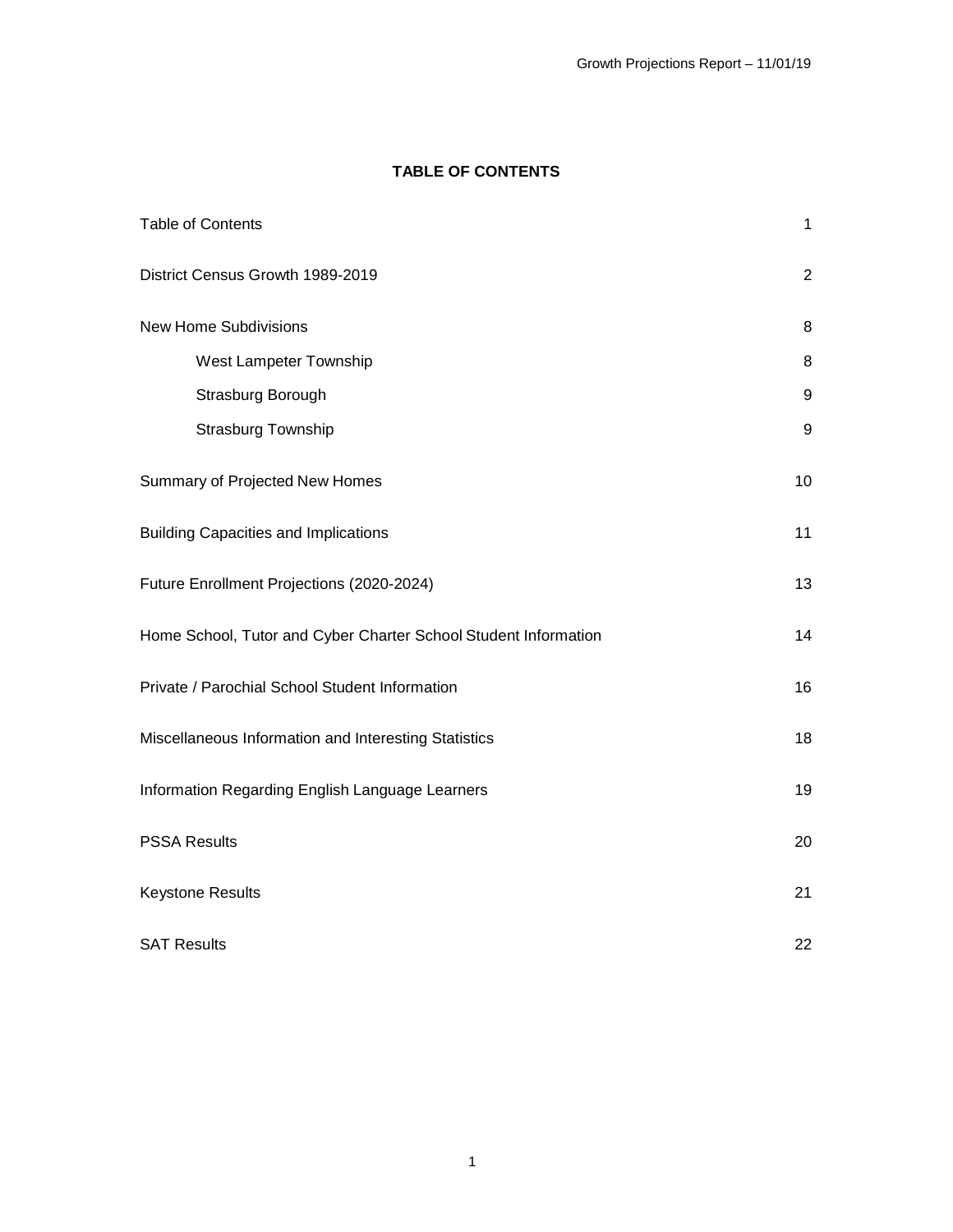# **TABLE OF CONTENTS**

<span id="page-1-0"></span>

| <b>Table of Contents</b>                                        | $\mathbf{1}$     |
|-----------------------------------------------------------------|------------------|
| District Census Growth 1989-2019                                | $\overline{2}$   |
| <b>New Home Subdivisions</b>                                    | 8                |
| West Lampeter Township                                          | 8                |
| Strasburg Borough                                               | 9                |
| Strasburg Township                                              | $\boldsymbol{9}$ |
| Summary of Projected New Homes                                  | 10               |
| <b>Building Capacities and Implications</b>                     | 11               |
| Future Enrollment Projections (2020-2024)                       | 13               |
| Home School, Tutor and Cyber Charter School Student Information | 14               |
| Private / Parochial School Student Information                  | 16               |
| Miscellaneous Information and Interesting Statistics            | 18               |
| Information Regarding English Language Learners                 | 19               |
| <b>PSSA Results</b>                                             | 20               |
| <b>Keystone Results</b>                                         | 21               |
| <b>SAT Results</b>                                              | 22               |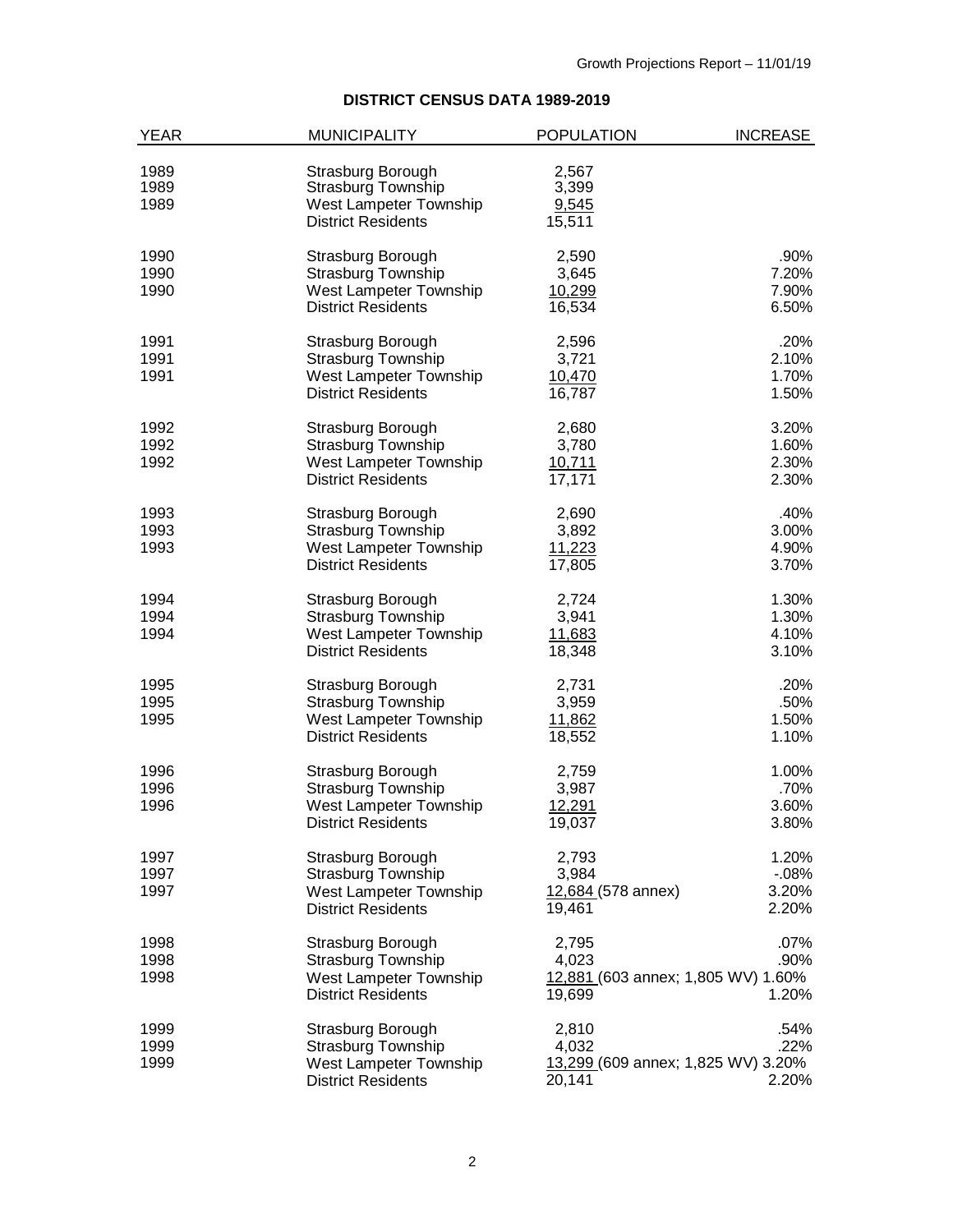# **DISTRICT CENSUS DATA 1989-2019**

| <b>YEAR</b>          | <b>MUNICIPALITY</b>                                                      | <b>POPULATION</b>                            | <b>INCREASE</b> |
|----------------------|--------------------------------------------------------------------------|----------------------------------------------|-----------------|
| 1989<br>1989<br>1989 | Strasburg Borough<br><b>Strasburg Township</b><br>West Lampeter Township | 2,567<br>3,399<br>9,545                      |                 |
|                      | <b>District Residents</b>                                                | 15,511                                       |                 |
| 1990                 | Strasburg Borough                                                        | 2,590                                        | .90%            |
| 1990                 | <b>Strasburg Township</b>                                                | 3,645                                        | 7.20%           |
| 1990                 | West Lampeter Township                                                   | 10,299                                       | 7.90%           |
|                      | <b>District Residents</b>                                                | 16,534                                       | 6.50%           |
| 1991                 | Strasburg Borough                                                        | 2,596                                        | .20%            |
| 1991<br>1991         | <b>Strasburg Township</b>                                                | 3,721                                        | 2.10%<br>1.70%  |
|                      | West Lampeter Township<br><b>District Residents</b>                      | 10,470<br>16,787                             | 1.50%           |
| 1992                 | Strasburg Borough                                                        | 2,680                                        | 3.20%           |
| 1992                 | Strasburg Township                                                       | 3,780                                        | 1.60%           |
| 1992                 | West Lampeter Township                                                   | 10,711                                       | 2.30%           |
|                      | <b>District Residents</b>                                                | 17,171                                       | 2.30%           |
| 1993                 | Strasburg Borough                                                        | 2,690                                        | .40%            |
| 1993                 | <b>Strasburg Township</b>                                                | 3,892                                        | 3.00%           |
| 1993                 | West Lampeter Township                                                   | 11,223                                       | 4.90%           |
|                      | <b>District Residents</b>                                                | 17,805                                       | 3.70%           |
| 1994                 | Strasburg Borough                                                        | 2,724                                        | 1.30%           |
| 1994<br>1994         | <b>Strasburg Township</b><br>West Lampeter Township                      | 3,941                                        | 1.30%<br>4.10%  |
|                      | <b>District Residents</b>                                                | 11,683<br>18,348                             | 3.10%           |
| 1995                 | Strasburg Borough                                                        | 2,731                                        | .20%            |
| 1995                 | <b>Strasburg Township</b>                                                | 3,959                                        | .50%            |
| 1995                 | West Lampeter Township                                                   | 11,862                                       | 1.50%           |
|                      | <b>District Residents</b>                                                | 18,552                                       | 1.10%           |
| 1996                 | Strasburg Borough                                                        | 2,759                                        | 1.00%           |
| 1996                 | <b>Strasburg Township</b>                                                | 3,987                                        | .70%            |
| 1996                 | West Lampeter Township                                                   | 12,291                                       | 3.60%           |
|                      | <b>District Residents</b>                                                | 19,037                                       | 3.80%           |
| 1997                 | Strasburg Borough                                                        | 2,793                                        | 1.20%           |
| 1997                 | Strasburg Township                                                       | 3,984                                        | $-0.08%$        |
| 1997                 | West Lampeter Township                                                   | 12,684 (578 annex)                           | 3.20%           |
|                      | <b>District Residents</b>                                                | 19,461                                       | 2.20%           |
| 1998                 | Strasburg Borough                                                        | 2,795                                        | .07%            |
| 1998                 | <b>Strasburg Township</b>                                                | 4,023                                        | .90%            |
| 1998                 | West Lampeter Township<br><b>District Residents</b>                      | 12,881 (603 annex; 1,805 WV) 1.60%<br>19,699 | 1.20%           |
|                      |                                                                          |                                              |                 |
| 1999                 | Strasburg Borough                                                        | 2,810                                        | .54%            |
| 1999<br>1999         | <b>Strasburg Township</b>                                                | 4,032<br>13,299 (609 annex; 1,825 WV) 3.20%  | .22%            |
|                      | West Lampeter Township<br><b>District Residents</b>                      | 20,141                                       | 2.20%           |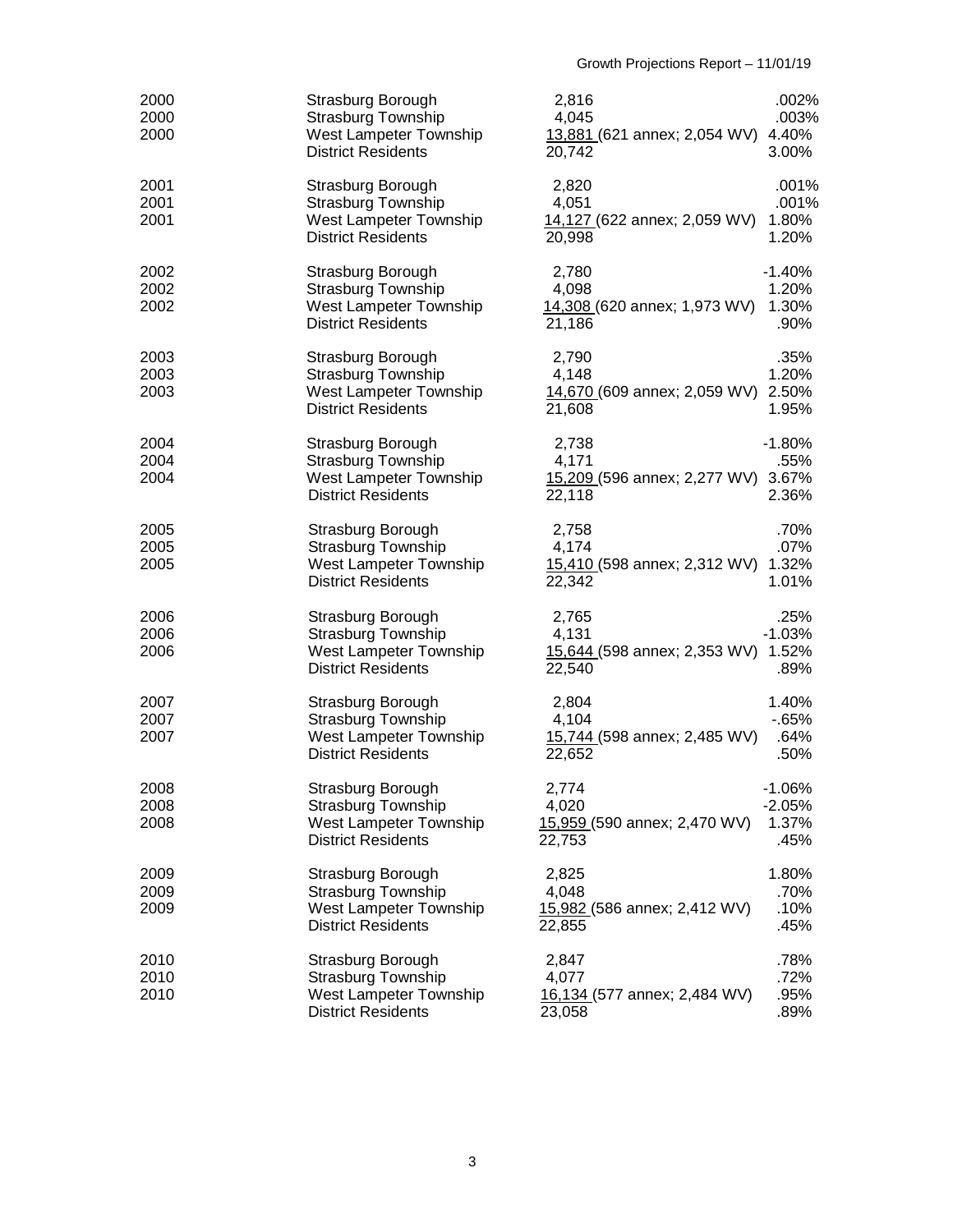| 2000<br>2000<br>2000 | Strasburg Borough<br><b>Strasburg Township</b><br>West Lampeter Township<br><b>District Residents</b> | 2,816<br>4,045<br>13,881 (621 annex; 2,054 WV) 4.40%<br>20,742 | .002%<br>.003%<br>3.00%               |
|----------------------|-------------------------------------------------------------------------------------------------------|----------------------------------------------------------------|---------------------------------------|
| 2001<br>2001<br>2001 | Strasburg Borough<br><b>Strasburg Township</b><br>West Lampeter Township<br><b>District Residents</b> | 2,820<br>4,051<br>14,127 (622 annex; 2,059 WV)<br>20,998       | .001%<br>.001%<br>1.80%<br>1.20%      |
| 2002<br>2002<br>2002 | Strasburg Borough<br><b>Strasburg Township</b><br>West Lampeter Township<br><b>District Residents</b> | 2,780<br>4,098<br>14,308 (620 annex; 1,973 WV)<br>21,186       | $-1.40%$<br>1.20%<br>1.30%<br>.90%    |
| 2003<br>2003<br>2003 | Strasburg Borough<br><b>Strasburg Township</b><br>West Lampeter Township<br><b>District Residents</b> | 2,790<br>4,148<br>14,670 (609 annex; 2,059 WV) 2.50%<br>21,608 | .35%<br>1.20%<br>1.95%                |
| 2004<br>2004<br>2004 | Strasburg Borough<br><b>Strasburg Township</b><br>West Lampeter Township<br><b>District Residents</b> | 2,738<br>4,171<br>15,209 (596 annex; 2,277 WV) 3.67%<br>22,118 | $-1.80%$<br>.55%<br>2.36%             |
| 2005<br>2005<br>2005 | Strasburg Borough<br><b>Strasburg Township</b><br>West Lampeter Township<br><b>District Residents</b> | 2,758<br>4,174<br>15,410 (598 annex; 2,312 WV) 1.32%<br>22,342 | .70%<br>.07%<br>1.01%                 |
| 2006<br>2006<br>2006 | Strasburg Borough<br><b>Strasburg Township</b><br>West Lampeter Township<br><b>District Residents</b> | 2,765<br>4,131<br>15,644 (598 annex; 2,353 WV) 1.52%<br>22,540 | .25%<br>$-1.03%$<br>.89%              |
| 2007<br>2007<br>2007 | Strasburg Borough<br>Strasburg Township<br>West Lampeter Township<br><b>District Residents</b>        | 2,804<br>4,104<br>15,744 (598 annex; 2,485 WV)<br>22,652       | 1.40%<br>$-65%$<br>.64%<br>.50%       |
| 2008<br>2008<br>2008 | Strasburg Borough<br><b>Strasburg Township</b><br>West Lampeter Township<br><b>District Residents</b> | 2,774<br>4,020<br>15,959 (590 annex; 2,470 WV)<br>22,753       | $-1.06%$<br>$-2.05%$<br>1.37%<br>.45% |
| 2009<br>2009<br>2009 | Strasburg Borough<br><b>Strasburg Township</b><br>West Lampeter Township<br><b>District Residents</b> | 2,825<br>4,048<br>15,982 (586 annex; 2,412 WV)<br>22,855       | 1.80%<br>.70%<br>.10%<br>.45%         |
| 2010<br>2010<br>2010 | Strasburg Borough<br>Strasburg Township<br>West Lampeter Township<br><b>District Residents</b>        | 2,847<br>4,077<br>16,134 (577 annex; 2,484 WV)<br>23,058       | .78%<br>.72%<br>.95%<br>.89%          |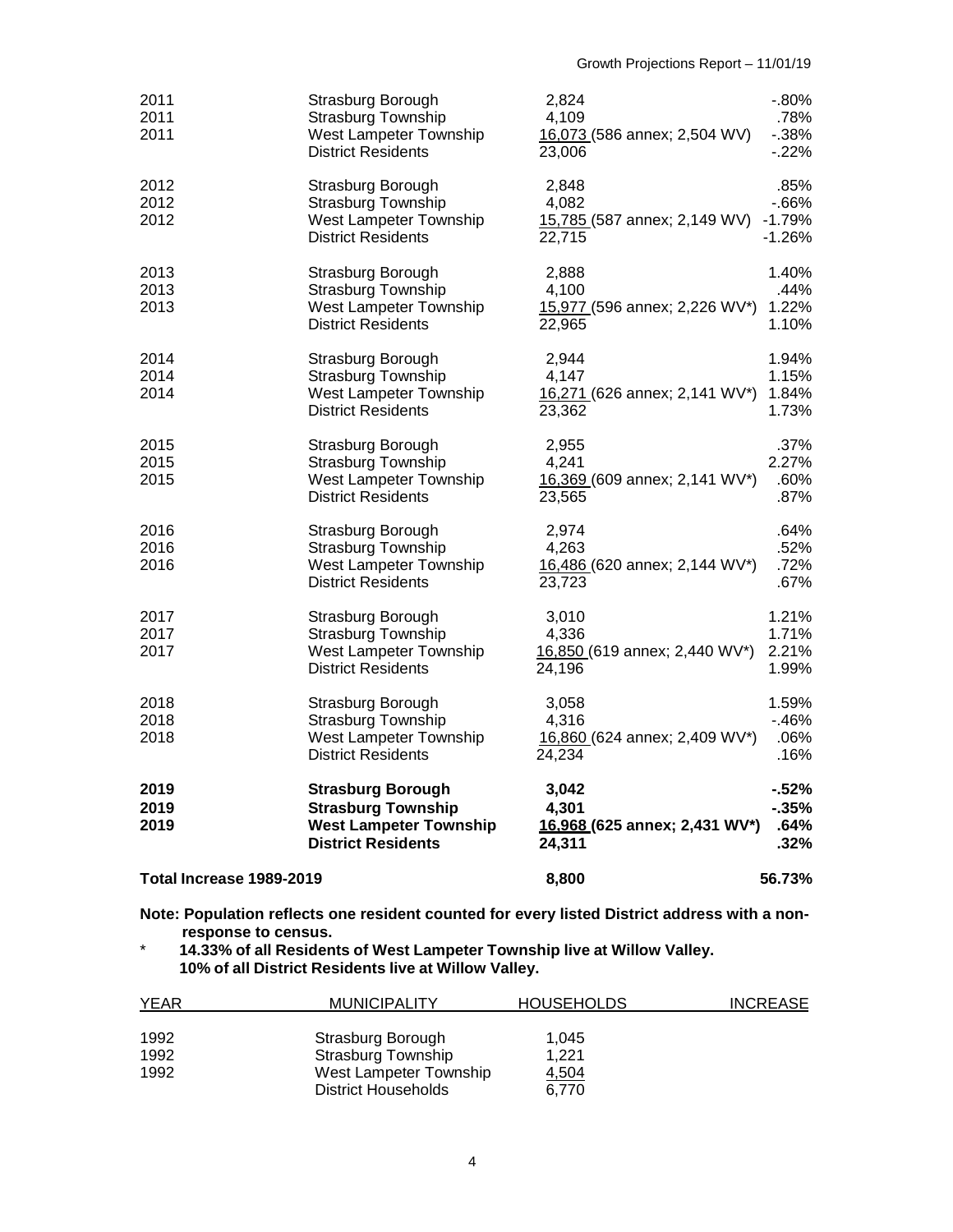| Total Increase 1989-2019 |                                                                                                                     | 8,800                                                           | 56.73%                                  |
|--------------------------|---------------------------------------------------------------------------------------------------------------------|-----------------------------------------------------------------|-----------------------------------------|
| 2019<br>2019<br>2019     | <b>Strasburg Borough</b><br><b>Strasburg Township</b><br><b>West Lampeter Township</b><br><b>District Residents</b> | 3,042<br>4.301<br>16.968 (625 annex; 2,431 WV*)<br>24,311       | $-52%$<br>$-35%$<br>.64%<br>.32%        |
| 2018<br>2018<br>2018     | Strasburg Borough<br><b>Strasburg Township</b><br>West Lampeter Township<br><b>District Residents</b>               | 3,058<br>4,316<br>16,860 (624 annex; 2,409 WV*)<br>24,234       | 1.59%<br>-.46%<br>.06%<br>.16%          |
| 2017<br>2017<br>2017     | Strasburg Borough<br><b>Strasburg Township</b><br>West Lampeter Township<br><b>District Residents</b>               | 3,010<br>4,336<br>16,850 (619 annex; 2,440 WV*)<br>24,196       | 1.21%<br>1.71%<br>2.21%<br>1.99%        |
| 2016<br>2016<br>2016     | Strasburg Borough<br><b>Strasburg Township</b><br>West Lampeter Township<br><b>District Residents</b>               | 2,974<br>4,263<br>16,486 (620 annex; 2,144 WV*)<br>23,723       | .64%<br>.52%<br>.72%<br>.67%            |
| 2015<br>2015<br>2015     | Strasburg Borough<br><b>Strasburg Township</b><br>West Lampeter Township<br><b>District Residents</b>               | 2,955<br>4,241<br>16,369 (609 annex; 2,141 WV*)<br>23,565       | .37%<br>2.27%<br>.60%<br>.87%           |
| 2014<br>2014<br>2014     | Strasburg Borough<br><b>Strasburg Township</b><br>West Lampeter Township<br><b>District Residents</b>               | 2,944<br>4,147<br>16,271 (626 annex; 2,141 WV*)<br>23,362       | 1.94%<br>1.15%<br>1.84%<br>1.73%        |
| 2013<br>2013<br>2013     | Strasburg Borough<br><b>Strasburg Township</b><br>West Lampeter Township<br><b>District Residents</b>               | 2,888<br>4,100<br>15,977 (596 annex; 2,226 WV*)<br>22,965       | 1.40%<br>.44%<br>1.22%<br>1.10%         |
| 2012<br>2012<br>2012     | Strasburg Borough<br><b>Strasburg Township</b><br>West Lampeter Township<br><b>District Residents</b>               | 2,848<br>4,082<br>15,785 (587 annex; 2,149 WV) -1.79%<br>22,715 | .85%<br>$-66%$<br>$-1.26%$              |
| 2011<br>2011<br>2011     | Strasburg Borough<br><b>Strasburg Township</b><br>West Lampeter Township<br><b>District Residents</b>               | 2,824<br>4,109<br>16,073 (586 annex; 2,504 WV)<br>23,006        | $-0.80\%$<br>.78%<br>$-0.38%$<br>$-22%$ |

**Note: Population reflects one resident counted for every listed District address with a nonresponse to census.**

\* **14.33% of all Residents of West Lampeter Township live at Willow Valley. 10% of all District Residents live at Willow Valley.**

| <b>YEAR</b> | <b>MUNICIPALITY</b>    | <b>HOUSEHOLDS</b> | <b>INCREASE</b> |
|-------------|------------------------|-------------------|-----------------|
|             |                        |                   |                 |
| 1992        | Strasburg Borough      | 1.045             |                 |
| 1992        | Strasburg Township     | 1.221             |                 |
| 1992        | West Lampeter Township | 4,504             |                 |
|             | District Households    | 6.770             |                 |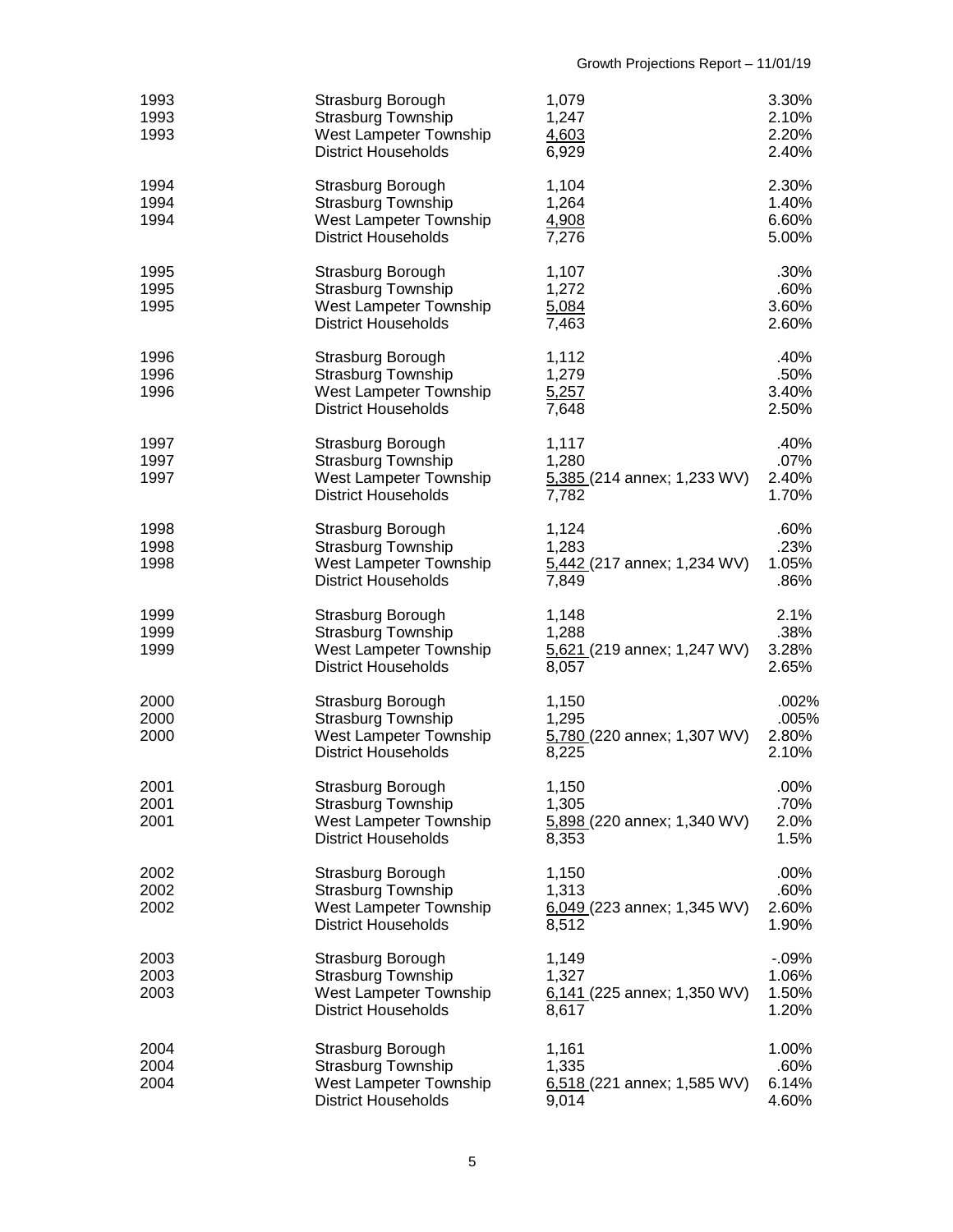| 1993<br>1993<br>1993 | Strasburg Borough<br><b>Strasburg Township</b><br>West Lampeter Township<br><b>District Households</b> | 1,079<br>1,247<br>4,603<br>6,929                         | 3.30%<br>2.10%<br>2.20%<br>2.40%    |
|----------------------|--------------------------------------------------------------------------------------------------------|----------------------------------------------------------|-------------------------------------|
| 1994<br>1994<br>1994 | Strasburg Borough<br><b>Strasburg Township</b><br>West Lampeter Township<br><b>District Households</b> | 1,104<br>1,264<br>4,908<br>7,276                         | 2.30%<br>1.40%<br>6.60%<br>5.00%    |
| 1995<br>1995<br>1995 | Strasburg Borough<br><b>Strasburg Township</b><br>West Lampeter Township<br><b>District Households</b> | 1,107<br>1,272<br>5,084<br>7,463                         | .30%<br>.60%<br>3.60%<br>2.60%      |
| 1996<br>1996<br>1996 | Strasburg Borough<br><b>Strasburg Township</b><br>West Lampeter Township<br><b>District Households</b> | 1,112<br>1,279<br>5,257<br>7,648                         | .40%<br>.50%<br>3.40%<br>2.50%      |
| 1997<br>1997<br>1997 | Strasburg Borough<br><b>Strasburg Township</b><br>West Lampeter Township<br><b>District Households</b> | 1,117<br>1,280<br>5,385 (214 annex; 1,233 WV)<br>7,782   | .40%<br>.07%<br>2.40%<br>1.70%      |
| 1998<br>1998<br>1998 | Strasburg Borough<br>Strasburg Township<br>West Lampeter Township<br><b>District Households</b>        | 1,124<br>1,283<br>5,442 (217 annex; 1,234 WV)<br>7,849   | .60%<br>.23%<br>1.05%<br>.86%       |
| 1999<br>1999<br>1999 | Strasburg Borough<br><b>Strasburg Township</b><br>West Lampeter Township<br><b>District Households</b> | 1,148<br>1,288<br>5,621 (219 annex; 1,247 WV)<br>8,057   | 2.1%<br>.38%<br>3.28%<br>2.65%      |
| 2000<br>2000<br>2000 | Strasburg Borough<br><b>Strasburg Township</b><br>West Lampeter Township<br><b>District Households</b> | 1,150<br>1,295<br>5,780 (220 annex; 1,307 WV)<br>8,225   | .002%<br>.005%<br>2.80%<br>2.10%    |
| 2001<br>2001<br>2001 | Strasburg Borough<br><b>Strasburg Township</b><br>West Lampeter Township<br><b>District Households</b> | 1,150<br>1,305<br>5,898 (220 annex; 1,340 WV)<br>8,353   | .00%<br>.70%<br>2.0%<br>1.5%        |
| 2002<br>2002<br>2002 | Strasburg Borough<br><b>Strasburg Township</b><br>West Lampeter Township<br><b>District Households</b> | 1,150<br>1,313<br>6,049 (223 annex; 1,345 WV)<br>8,512   | .00%<br>.60%<br>2.60%<br>1.90%      |
| 2003<br>2003<br>2003 | Strasburg Borough<br><b>Strasburg Township</b><br>West Lampeter Township<br><b>District Households</b> | 1,149<br>1,327<br>$6,141$ (225 annex; 1,350 WV)<br>8,617 | $-0.09%$<br>1.06%<br>1.50%<br>1.20% |
| 2004<br>2004<br>2004 | Strasburg Borough<br><b>Strasburg Township</b><br>West Lampeter Township<br><b>District Households</b> | 1,161<br>1,335<br>$6,518$ (221 annex; 1,585 WV)<br>9,014 | 1.00%<br>.60%<br>6.14%<br>4.60%     |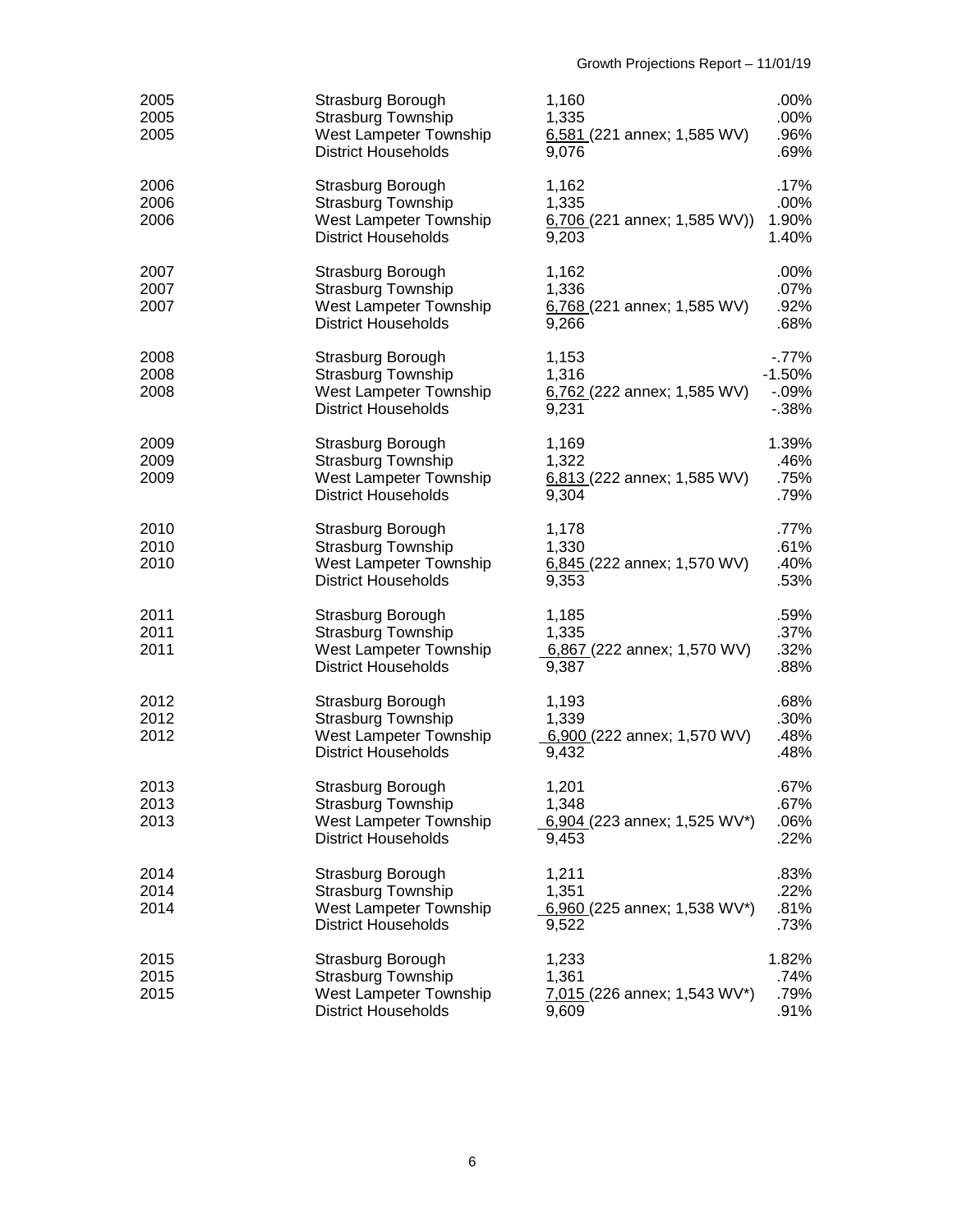| 2005<br>2005<br>2005 | Strasburg Borough<br>Strasburg Township<br>West Lampeter Township<br><b>District Households</b>        | 1,160<br>1,335<br>$6,581$ (221 annex; 1,585 WV)<br>9,076  | .00%<br>.00%<br>.96%<br>.69%               |
|----------------------|--------------------------------------------------------------------------------------------------------|-----------------------------------------------------------|--------------------------------------------|
| 2006<br>2006<br>2006 | Strasburg Borough<br>Strasburg Township<br>West Lampeter Township<br><b>District Households</b>        | 1,162<br>1,335<br>$6,706$ (221 annex; 1,585 WV))<br>9,203 | .17%<br>.00%<br>1.90%<br>1.40%             |
| 2007<br>2007<br>2007 | Strasburg Borough<br><b>Strasburg Township</b><br>West Lampeter Township<br><b>District Households</b> | 1,162<br>1,336<br>$6,768$ (221 annex; 1,585 WV)<br>9,266  | .00%<br>.07%<br>.92%<br>.68%               |
| 2008<br>2008<br>2008 | Strasburg Borough<br>Strasburg Township<br>West Lampeter Township<br><b>District Households</b>        | 1,153<br>1,316<br>6,762 (222 annex; 1,585 WV)<br>9,231    | $-77%$<br>$-1.50%$<br>$-0.09%$<br>$-0.38%$ |
| 2009<br>2009<br>2009 | Strasburg Borough<br>Strasburg Township<br>West Lampeter Township<br><b>District Households</b>        | 1,169<br>1,322<br>6,813 (222 annex; 1,585 WV)<br>9,304    | 1.39%<br>.46%<br>.75%<br>.79%              |
| 2010<br>2010<br>2010 | Strasburg Borough<br>Strasburg Township<br>West Lampeter Township<br><b>District Households</b>        | 1,178<br>1,330<br>6,845 (222 annex; 1,570 WV)<br>9,353    | .77%<br>.61%<br>.40%<br>.53%               |
| 2011<br>2011<br>2011 | Strasburg Borough<br>Strasburg Township<br>West Lampeter Township<br><b>District Households</b>        | 1,185<br>1,335<br>6,867 (222 annex; 1,570 WV)<br>9,387    | .59%<br>.37%<br>.32%<br>.88%               |
| 2012<br>2012<br>2012 | Strasburg Borough<br><b>Strasburg Township</b><br>West Lampeter Township<br><b>District Households</b> | 1,193<br>1,339<br>6,900 (222 annex; 1,570 WV)<br>9,432    | .68%<br>.30%<br>.48%<br>.48%               |
| 2013<br>2013<br>2013 | Strasburg Borough<br><b>Strasburg Township</b><br>West Lampeter Township<br><b>District Households</b> | 1,201<br>1,348<br>6,904 (223 annex; 1,525 WV*)<br>9,453   | .67%<br>.67%<br>.06%<br>.22%               |
| 2014<br>2014<br>2014 | Strasburg Borough<br><b>Strasburg Township</b><br>West Lampeter Township<br><b>District Households</b> | 1,211<br>1,351<br>6,960 (225 annex; 1,538 WV*)<br>9,522   | .83%<br>.22%<br>.81%<br>.73%               |
| 2015<br>2015<br>2015 | Strasburg Borough<br><b>Strasburg Township</b><br>West Lampeter Township<br><b>District Households</b> | 1,233<br>1,361<br>$7,015$ (226 annex; 1,543 WV*)<br>9,609 | 1.82%<br>.74%<br>.79%<br>.91%              |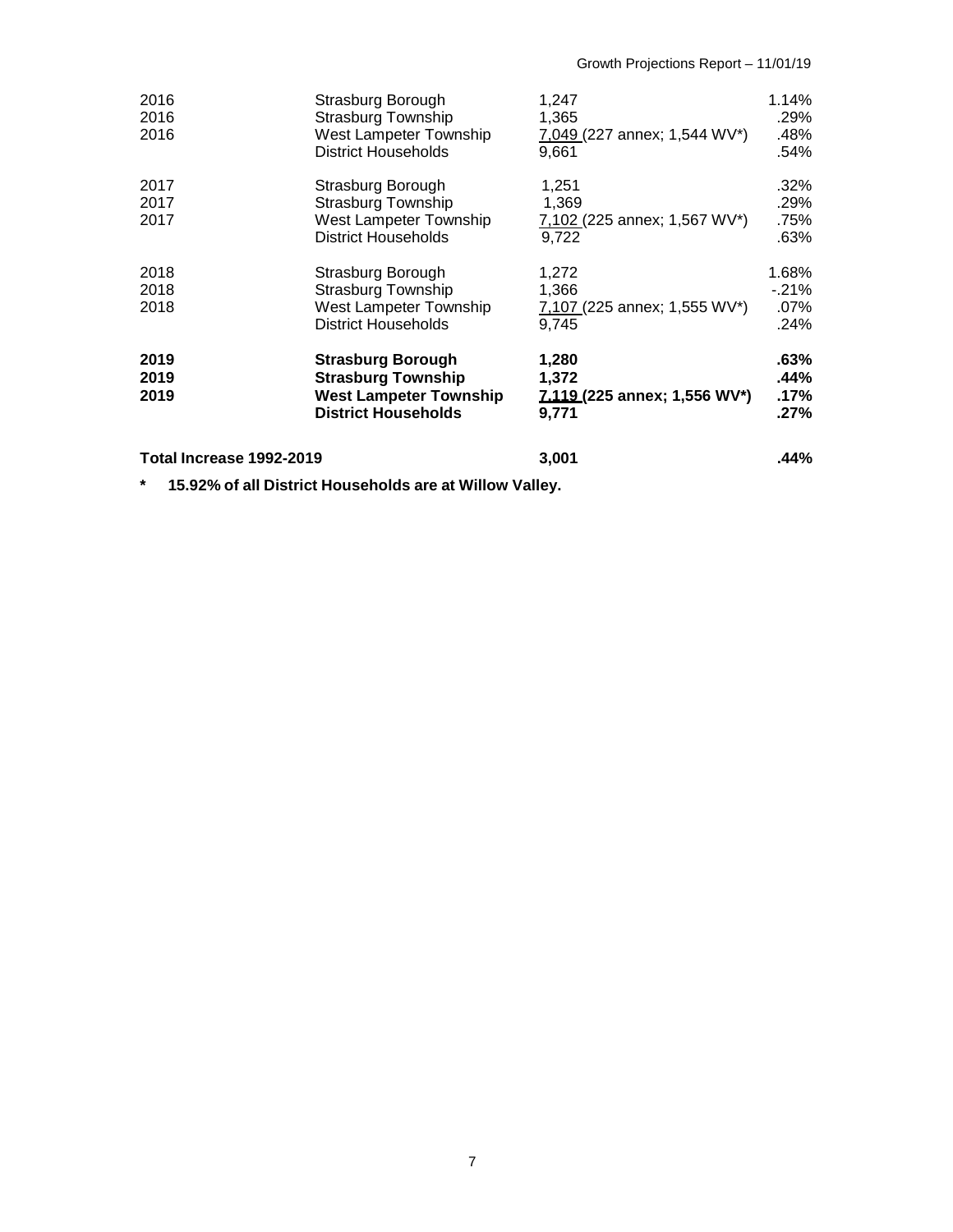| 2016<br>2016             | Strasburg Borough<br><b>Strasburg Township</b>                                                                       | 1,247<br>1.365                                          | 1.14%<br>.29%                   |
|--------------------------|----------------------------------------------------------------------------------------------------------------------|---------------------------------------------------------|---------------------------------|
| 2016                     | West Lampeter Township<br><b>District Households</b>                                                                 | 7,049 (227 annex; 1,544 WV*)<br>9.661                   | .48%<br>.54%                    |
| 2017<br>2017<br>2017     | Strasburg Borough<br><b>Strasburg Township</b><br>West Lampeter Township<br><b>District Households</b>               | 1,251<br>1,369<br>7,102 (225 annex; 1,567 WV*)<br>9.722 | .32%<br>.29%<br>.75%<br>.63%    |
| 2018<br>2018<br>2018     | Strasburg Borough<br><b>Strasburg Township</b><br>West Lampeter Township<br><b>District Households</b>               | 1,272<br>1,366<br>7,107 (225 annex; 1,555 WV*)<br>9.745 | 1.68%<br>$-21%$<br>.07%<br>.24% |
| 2019<br>2019<br>2019     | <b>Strasburg Borough</b><br><b>Strasburg Township</b><br><b>West Lampeter Township</b><br><b>District Households</b> | 1,280<br>1,372<br>7.119 (225 annex; 1,556 WV*)<br>9,771 | .63%<br>.44%<br>.17%<br>$.27\%$ |
| Total Increase 1992-2019 |                                                                                                                      | 3,001                                                   | .44%                            |

**\* 15.92% of all District Households are at Willow Valley.**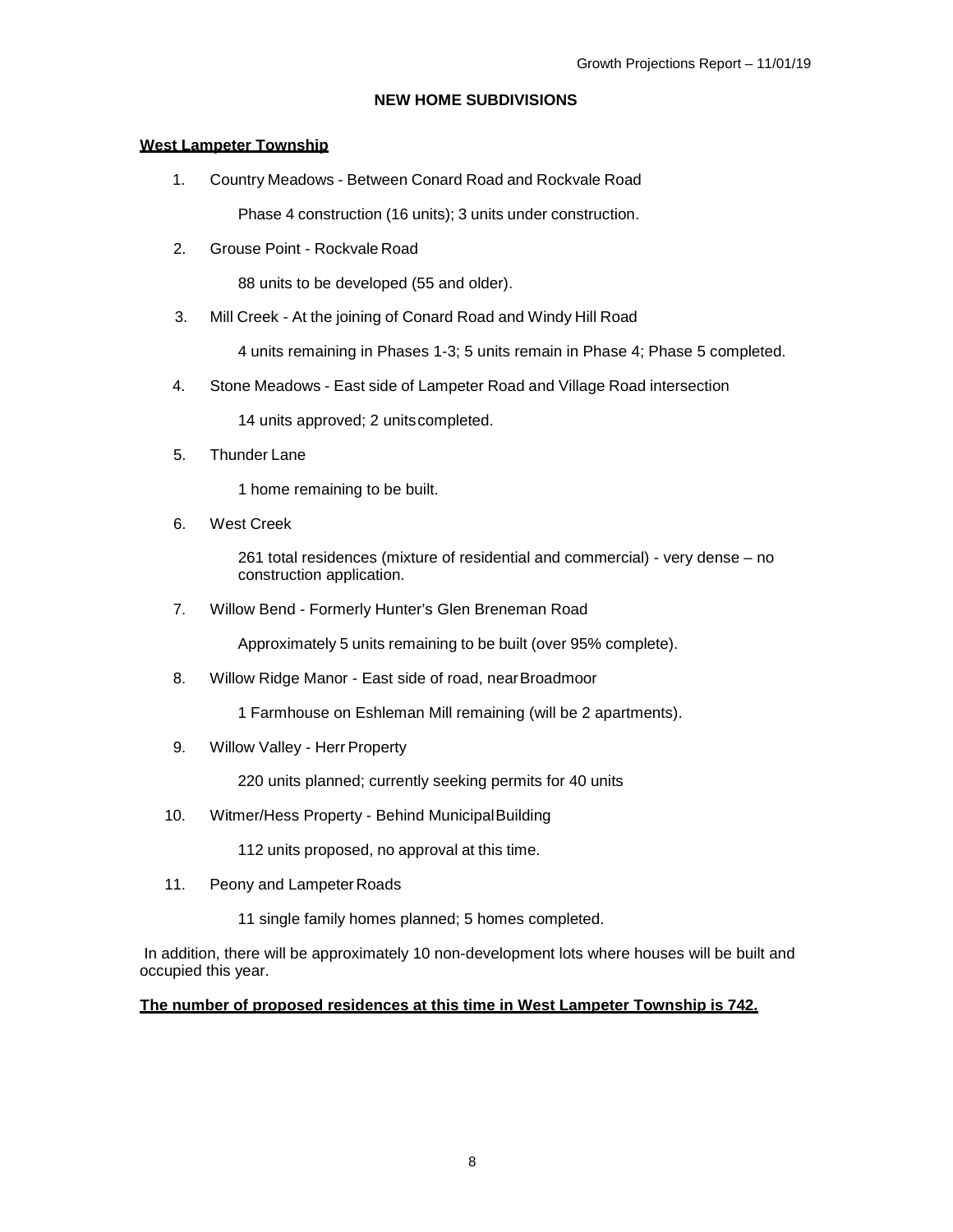# **NEW HOME SUBDIVISIONS**

## <span id="page-8-1"></span><span id="page-8-0"></span>**West Lampeter Township**

1. Country Meadows - Between Conard Road and Rockvale Road Phase 4 construction (16 units); 3 units under construction.

2. Grouse Point - Rockvale Road

88 units to be developed (55 and older).

3. Mill Creek - At the joining of Conard Road and Windy Hill Road

4 units remaining in Phases 1-3; 5 units remain in Phase 4; Phase 5 completed.

4. Stone Meadows - East side of Lampeter Road and Village Road intersection

14 units approved; 2 unitscompleted.

5. Thunder Lane

1 home remaining to be built.

6. West Creek

261 total residences (mixture of residential and commercial) - very dense – no construction application.

7. Willow Bend - Formerly Hunter's Glen Breneman Road

Approximately 5 units remaining to be built (over 95% complete).

8. Willow Ridge Manor - East side of road, nearBroadmoor

1 Farmhouse on Eshleman Mill remaining (will be 2 apartments).

9. Willow Valley - Herr Property

220 units planned; currently seeking permits for 40 units

10. Witmer/Hess Property - Behind MunicipalBuilding

112 units proposed, no approval at this time.

- 11. Peony and Lampeter Roads
	- 11 single family homes planned; 5 homes completed.

In addition, there will be approximately 10 non-development lots where houses will be built and occupied this year.

# **The number of proposed residences at this time in West Lampeter Township is 742.**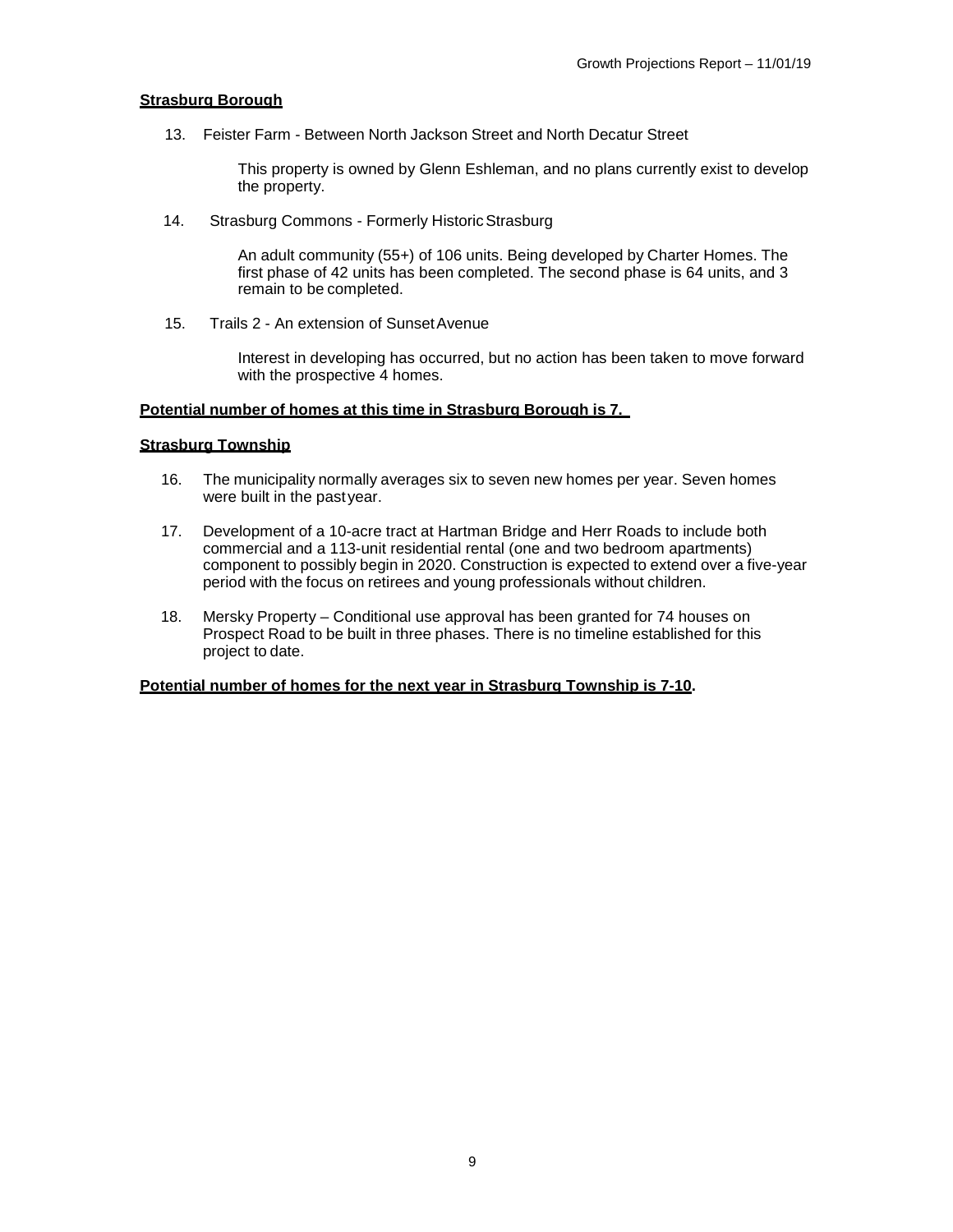#### <span id="page-9-0"></span>**Strasburg Borough**

13. Feister Farm - Between North Jackson Street and North Decatur Street

This property is owned by Glenn Eshleman, and no plans currently exist to develop the property.

14. Strasburg Commons - Formerly Historic Strasburg

An adult community (55+) of 106 units. Being developed by Charter Homes. The first phase of 42 units has been completed. The second phase is 64 units, and 3 remain to be completed.

15. Trails 2 - An extension of SunsetAvenue

Interest in developing has occurred, but no action has been taken to move forward with the prospective 4 homes.

## **Potential number of homes at this time in Strasburg Borough is 7.**

### <span id="page-9-1"></span>**Strasburg Township**

- 16. The municipality normally averages six to seven new homes per year. Seven homes were built in the pastyear.
- 17. Development of a 10-acre tract at Hartman Bridge and Herr Roads to include both commercial and a 113-unit residential rental (one and two bedroom apartments) component to possibly begin in 2020. Construction is expected to extend over a five-year period with the focus on retirees and young professionals without children.
- 18. Mersky Property Conditional use approval has been granted for 74 houses on Prospect Road to be built in three phases. There is no timeline established for this project to date.

### **Potential number of homes for the next year in Strasburg Township is 7-10.**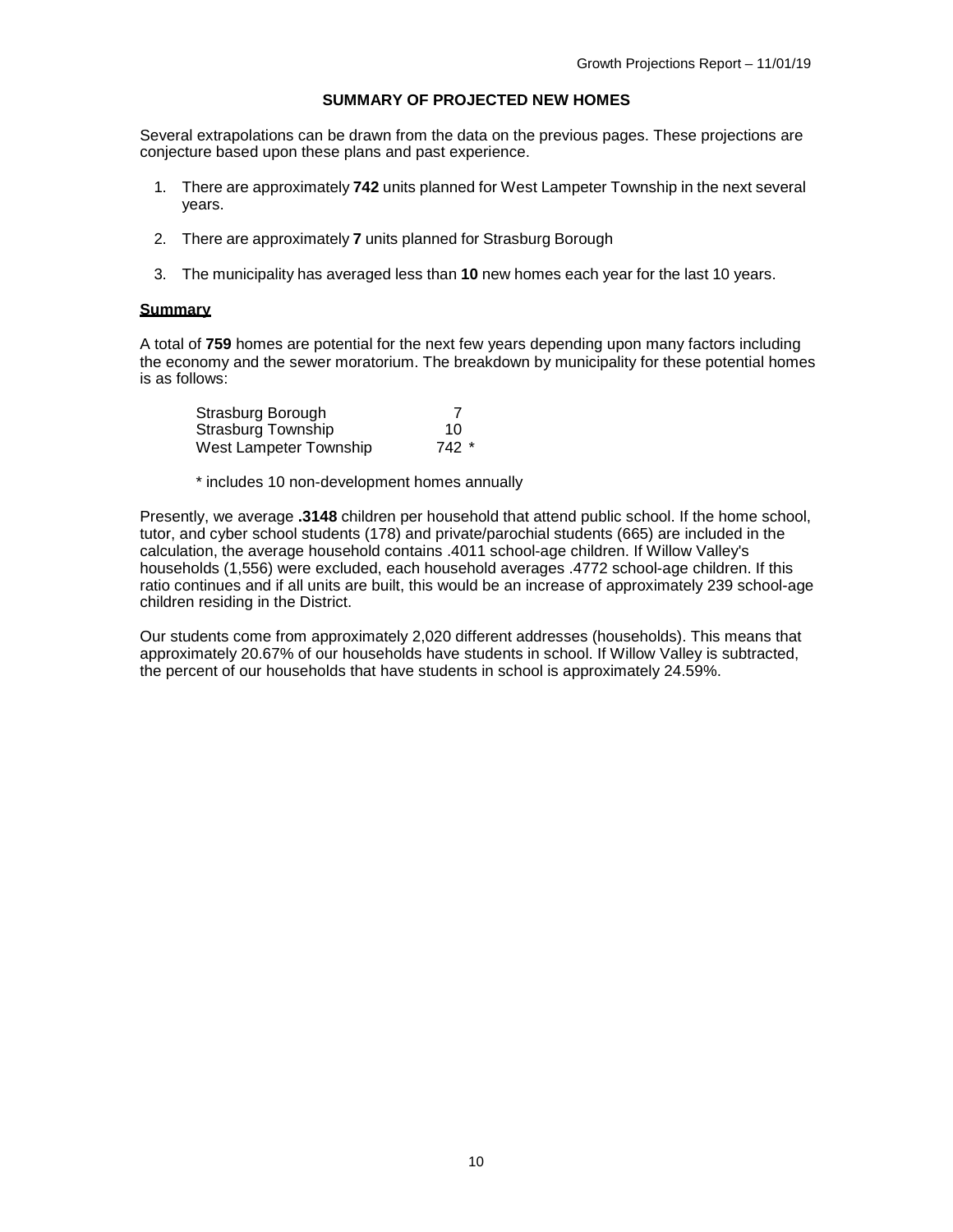#### **SUMMARY OF PROJECTED NEW HOMES**

<span id="page-10-0"></span>Several extrapolations can be drawn from the data on the previous pages. These projections are conjecture based upon these plans and past experience.

- 1. There are approximately **742** units planned for West Lampeter Township in the next several years.
- 2. There are approximately **7** units planned for Strasburg Borough
- 3. The municipality has averaged less than **10** new homes each year for the last 10 years.

#### **Summary**

A total of **759** homes are potential for the next few years depending upon many factors including the economy and the sewer moratorium. The breakdown by municipality for these potential homes is as follows:

| Strasburg Borough      |       |
|------------------------|-------|
| Strasburg Township     | 10    |
| West Lampeter Township | 742 * |

\* includes 10 non-development homes annually

Presently, we average **.3148** children per household that attend public school. If the home school, tutor, and cyber school students (178) and private/parochial students (665) are included in the calculation, the average household contains .4011 school-age children. If Willow Valley's households (1,556) were excluded, each household averages .4772 school-age children. If this ratio continues and if all units are built, this would be an increase of approximately 239 school-age children residing in the District.

Our students come from approximately 2,020 different addresses (households). This means that approximately 20.67% of our households have students in school. If Willow Valley is subtracted, the percent of our households that have students in school is approximately 24.59%.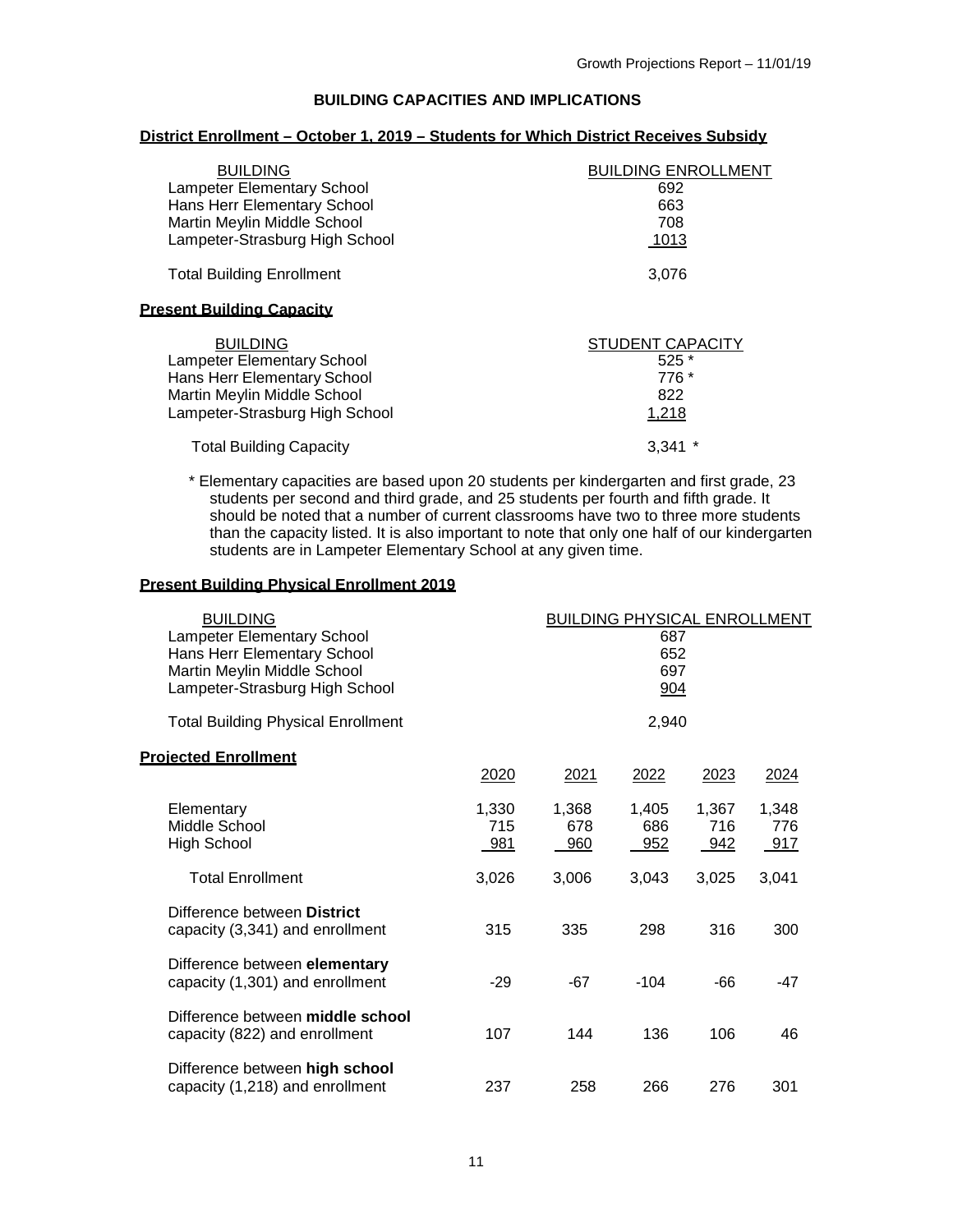## **BUILDING CAPACITIES AND IMPLICATIONS**

#### <span id="page-11-0"></span>**District Enrollment – October 1, 2019 – Students for Which District Receives Subsidy**

| <b>BUILDING</b>                   | <b>BUILDING ENROLLMENT</b> |
|-----------------------------------|----------------------------|
| <b>Lampeter Elementary School</b> | 692                        |
| Hans Herr Elementary School       | 663                        |
| Martin Meylin Middle School       | 708                        |
| Lampeter-Strasburg High School    | 1013                       |
| <b>Total Building Enrollment</b>  | 3,076                      |
| <u>Present Building Capacity</u>  |                            |
| <b>BUILDING</b>                   | <b>STUDENT CAPACITY</b>    |
| <b>Lampeter Elementary School</b> | $525*$                     |
| Hans Herr Elementary School       | 776 *                      |
| Martin Meylin Middle School       | 822                        |
| Lampeter-Strasburg High School    | 1,218                      |
| <b>Total Building Capacity</b>    | 3.341                      |

\* Elementary capacities are based upon 20 students per kindergarten and first grade, 23 students per second and third grade, and 25 students per fourth and fifth grade. It should be noted that a number of current classrooms have two to three more students than the capacity listed. It is also important to note that only one half of our kindergarten students are in Lampeter Elementary School at any given time.

#### **Present Building Physical Enrollment 2019**

| <b>BUILDING</b>                                                                                                                   |                     | <b>BUILDING PHYSICAL ENROLLMENT</b> |                     |                     |                     |
|-----------------------------------------------------------------------------------------------------------------------------------|---------------------|-------------------------------------|---------------------|---------------------|---------------------|
| <b>Lampeter Elementary School</b><br>Hans Herr Elementary School<br>Martin Meylin Middle School<br>Lampeter-Strasburg High School |                     | 687<br>652<br>697<br>904            |                     |                     |                     |
| <b>Total Building Physical Enrollment</b>                                                                                         |                     |                                     | 2,940               |                     |                     |
| <b>Projected Enrollment</b>                                                                                                       | 2020                | 2021                                | 2022                | 2023                | <u>2024</u>         |
| Elementary<br>Middle School<br><b>High School</b>                                                                                 | 1,330<br>715<br>981 | 1,368<br>678<br>960                 | 1,405<br>686<br>952 | 1,367<br>716<br>942 | 1,348<br>776<br>917 |
| <b>Total Enrollment</b>                                                                                                           | 3,026               | 3,006                               | 3,043               | 3,025               | 3,041               |
| Difference between District<br>capacity (3,341) and enrollment                                                                    | 315                 | 335                                 | 298                 | 316                 | 300                 |
| Difference between elementary<br>capacity (1,301) and enrollment                                                                  | $-29$               | $-67$                               | $-104$              | -66                 | -47                 |
| Difference between middle school<br>capacity (822) and enrollment                                                                 | 107                 | 144                                 | 136                 | 106                 | 46                  |
| Difference between high school<br>capacity (1,218) and enrollment                                                                 | 237                 | 258                                 | 266                 | 276                 | 301                 |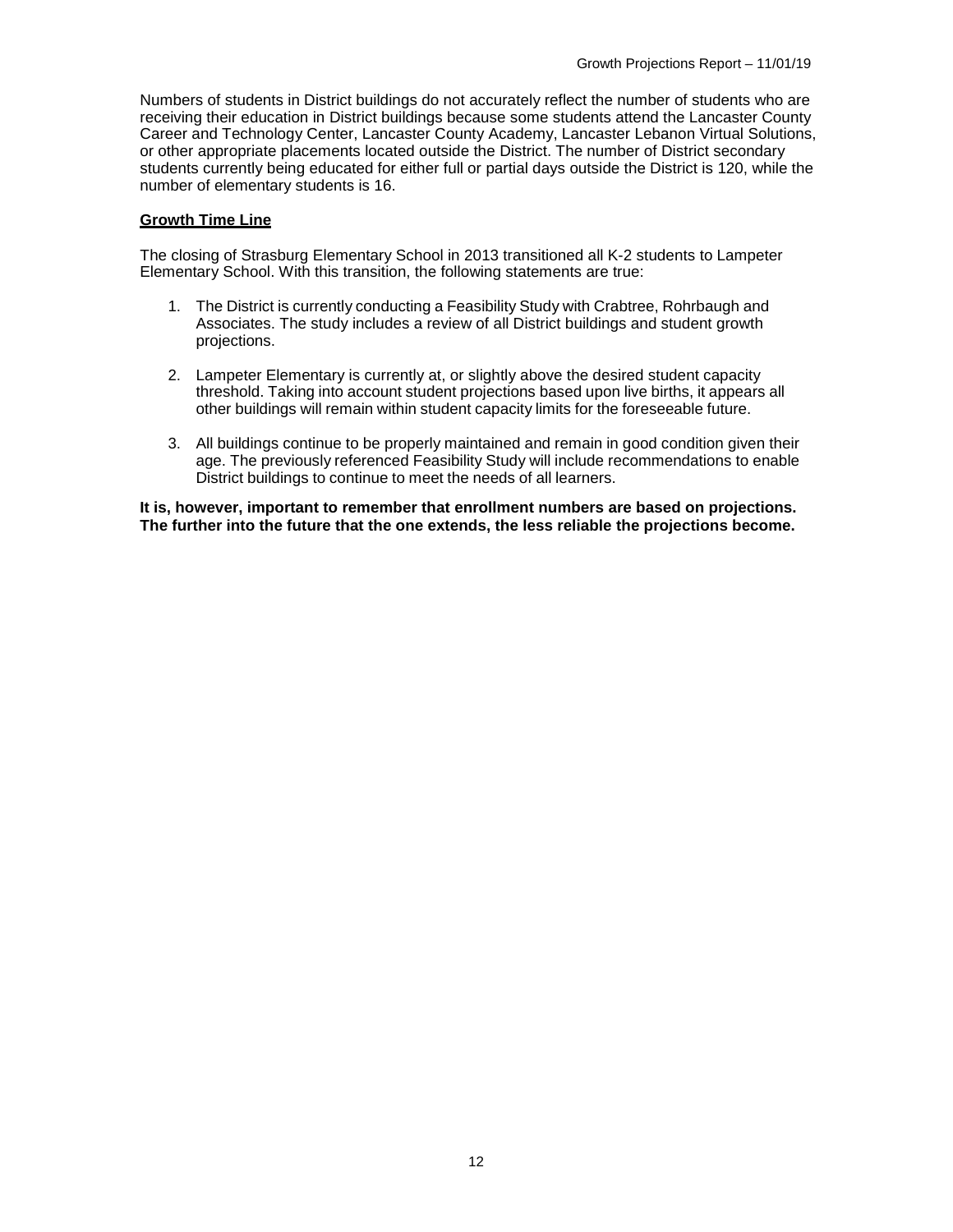Numbers of students in District buildings do not accurately reflect the number of students who are receiving their education in District buildings because some students attend the Lancaster County Career and Technology Center, Lancaster County Academy, Lancaster Lebanon Virtual Solutions, or other appropriate placements located outside the District. The number of District secondary students currently being educated for either full or partial days outside the District is 120, while the number of elementary students is 16.

## **Growth Time Line**

The closing of Strasburg Elementary School in 2013 transitioned all K-2 students to Lampeter Elementary School. With this transition, the following statements are true:

- 1. The District is currently conducting a Feasibility Study with Crabtree, Rohrbaugh and Associates. The study includes a review of all District buildings and student growth projections.
- 2. Lampeter Elementary is currently at, or slightly above the desired student capacity threshold. Taking into account student projections based upon live births, it appears all other buildings will remain within student capacity limits for the foreseeable future.
- 3. All buildings continue to be properly maintained and remain in good condition given their age. The previously referenced Feasibility Study will include recommendations to enable District buildings to continue to meet the needs of all learners.

**It is, however, important to remember that enrollment numbers are based on projections. The further into the future that the one extends, the less reliable the projections become.**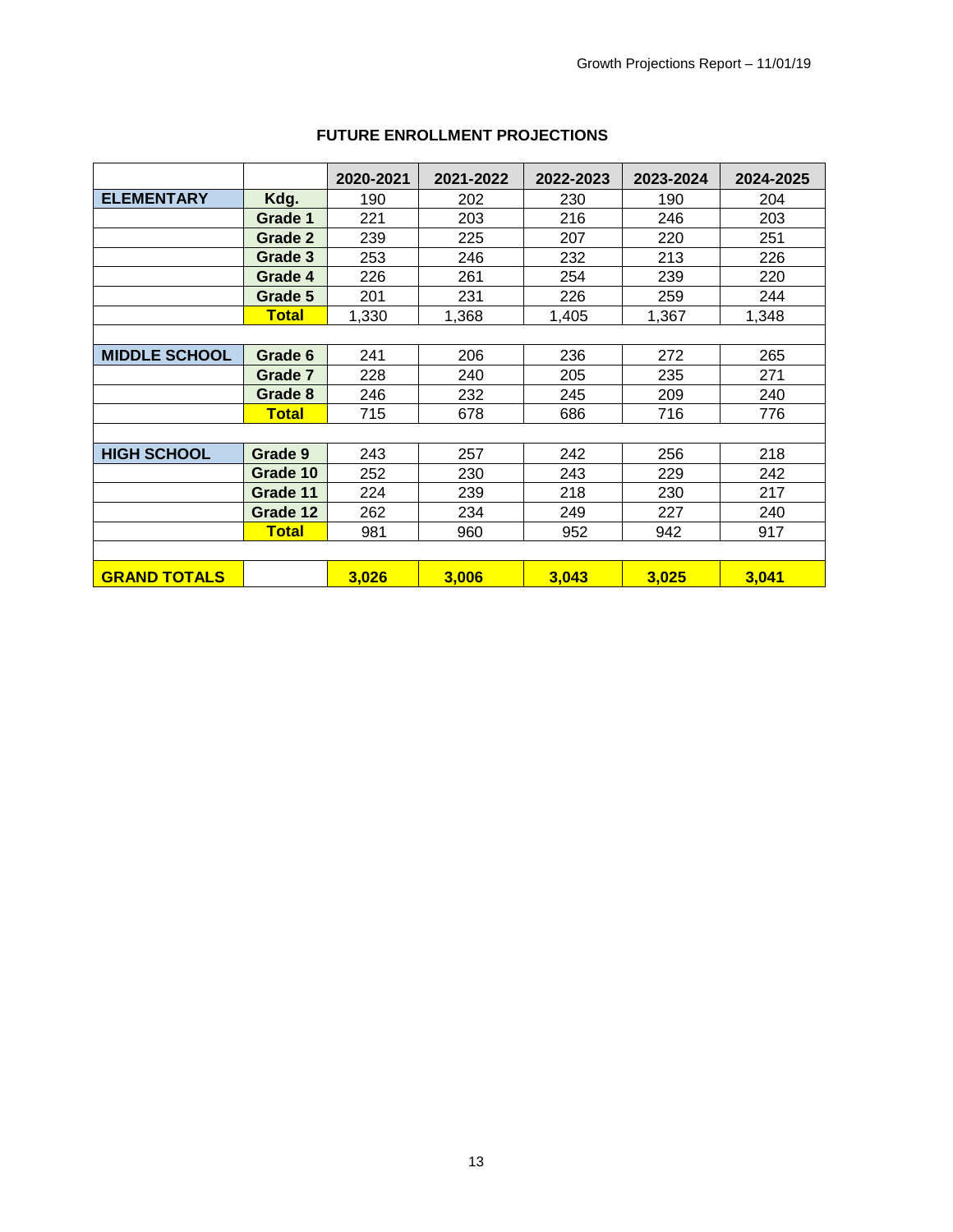|                      |                | 2020-2021 | 2021-2022 | 2022-2023 | 2023-2024 | 2024-2025 |
|----------------------|----------------|-----------|-----------|-----------|-----------|-----------|
| <b>ELEMENTARY</b>    | Kdg.           | 190       | 202       | 230       | 190       | 204       |
|                      | Grade 1        | 221       | 203       | 216       | 246       | 203       |
|                      | <b>Grade 2</b> | 239       | 225       | 207       | 220       | 251       |
|                      | Grade 3        | 253       | 246       | 232       | 213       | 226       |
|                      | Grade 4        | 226       | 261       | 254       | 239       | 220       |
|                      | Grade 5        | 201       | 231       | 226       | 259       | 244       |
|                      | <b>Total</b>   | 1,330     | 1,368     | 1,405     | 1,367     | 1,348     |
|                      |                |           |           |           |           |           |
| <b>MIDDLE SCHOOL</b> | Grade 6        | 241       | 206       | 236       | 272       | 265       |
|                      | Grade 7        | 228       | 240       | 205       | 235       | 271       |
|                      | Grade 8        | 246       | 232       | 245       | 209       | 240       |
|                      | <b>Total</b>   | 715       | 678       | 686       | 716       | 776       |
|                      |                |           |           |           |           |           |
| <b>HIGH SCHOOL</b>   | Grade 9        | 243       | 257       | 242       | 256       | 218       |
|                      | Grade 10       | 252       | 230       | 243       | 229       | 242       |
|                      | Grade 11       | 224       | 239       | 218       | 230       | 217       |
|                      | Grade 12       | 262       | 234       | 249       | 227       | 240       |
|                      | <b>Total</b>   | 981       | 960       | 952       | 942       | 917       |
|                      |                |           |           |           |           |           |
| <b>GRAND TOTALS</b>  |                | 3,026     | 3,006     | 3,043     | 3,025     | 3,041     |

# **FUTURE ENROLLMENT PROJECTIONS**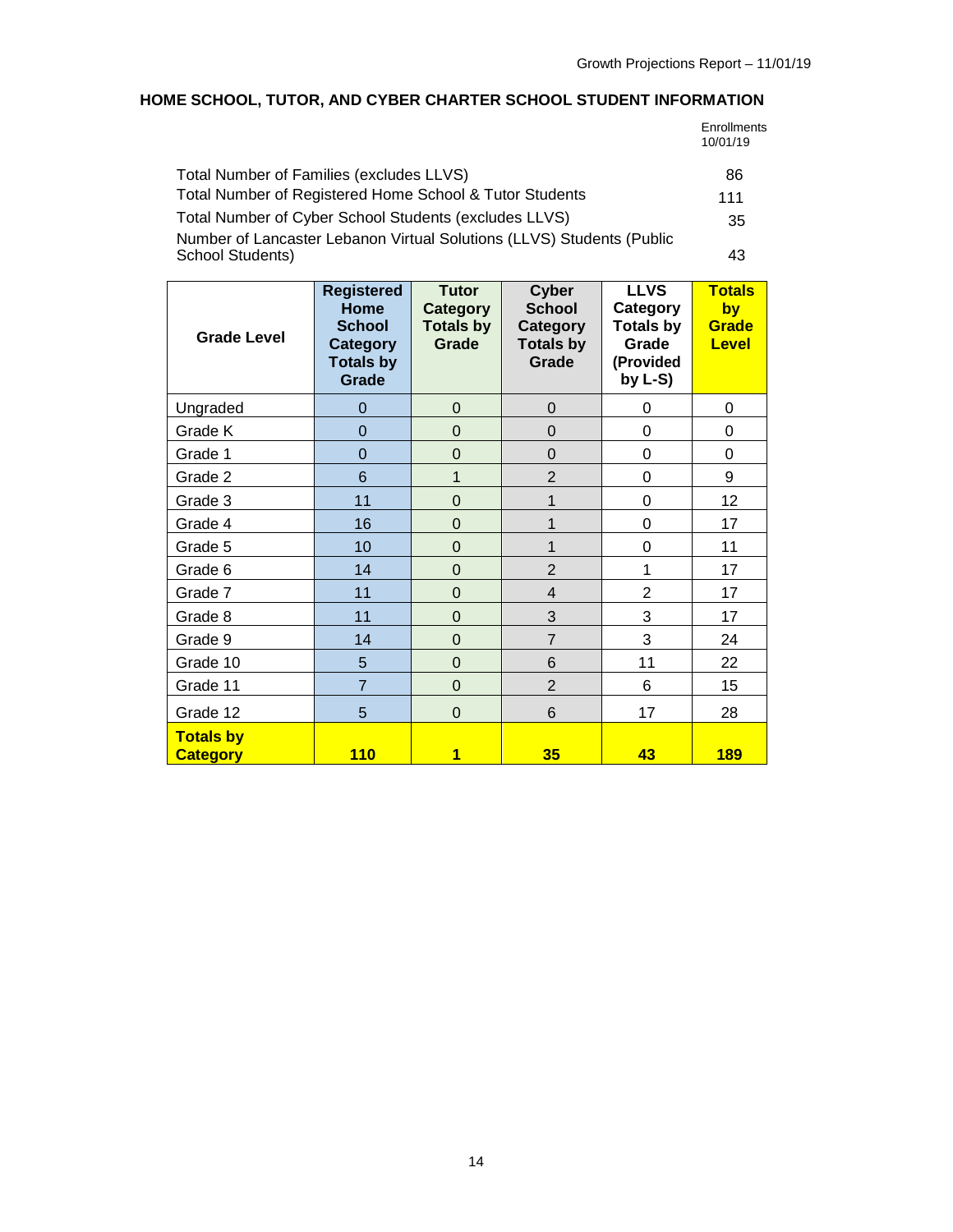# <span id="page-14-0"></span>**HOME SCHOOL, TUTOR, AND CYBER CHARTER SCHOOL STUDENT INFORMATION**

| Enrollments |
|-------------|
| 10/01/19    |

| Total Number of Families (excludes LLVS)                                                  | 86  |
|-------------------------------------------------------------------------------------------|-----|
| Total Number of Registered Home School & Tutor Students                                   | 111 |
| Total Number of Cyber School Students (excludes LLVS)                                     | -35 |
| Number of Lancaster Lebanon Virtual Solutions (LLVS) Students (Public<br>School Students) | 43  |

| <b>Grade Level</b>                  | <b>Registered</b><br>Home<br><b>School</b><br>Category<br><b>Totals by</b><br>Grade | <b>Tutor</b><br>Category<br><b>Totals by</b><br>Grade | Cyber<br><b>School</b><br>Category<br><b>Totals by</b><br>Grade | <b>LLVS</b><br>Category<br><b>Totals by</b><br>Grade<br>(Provided<br>by $L-S$ ) | <b>Totals</b><br>by<br>Grade<br>Level |
|-------------------------------------|-------------------------------------------------------------------------------------|-------------------------------------------------------|-----------------------------------------------------------------|---------------------------------------------------------------------------------|---------------------------------------|
| Ungraded                            | $\overline{0}$                                                                      | $\pmb{0}$                                             | $\overline{0}$                                                  | 0                                                                               | $\Omega$                              |
| Grade K                             | $\overline{0}$                                                                      | $\mathbf 0$                                           | 0                                                               | 0                                                                               | 0                                     |
| Grade 1                             | $\overline{0}$                                                                      | $\mathbf 0$                                           | $\mathbf 0$                                                     | 0                                                                               | 0                                     |
| Grade 2                             | $6\phantom{1}6$                                                                     | 1                                                     | $\overline{2}$                                                  | 0                                                                               | 9                                     |
| Grade 3                             | 11                                                                                  | $\mathbf 0$                                           | 1                                                               | 0                                                                               | 12                                    |
| Grade 4                             | 16                                                                                  | $\mathbf 0$                                           | 1                                                               | 0                                                                               | 17                                    |
| Grade 5                             | 10                                                                                  | $\mathbf 0$                                           | 1                                                               | 0                                                                               | 11                                    |
| Grade 6                             | 14                                                                                  | $\mathbf 0$                                           | $\overline{2}$                                                  | 1                                                                               | 17                                    |
| Grade 7                             | 11                                                                                  | $\mathbf 0$                                           | 4                                                               | $\overline{2}$                                                                  | 17                                    |
| Grade 8                             | 11                                                                                  | $\mathbf 0$                                           | 3                                                               | 3                                                                               | 17                                    |
| Grade 9                             | 14                                                                                  | $\mathbf 0$                                           | $\overline{7}$                                                  | 3                                                                               | 24                                    |
| Grade 10                            | 5                                                                                   | $\mathbf 0$                                           | 6                                                               | 11                                                                              | 22                                    |
| Grade 11                            | $\overline{7}$                                                                      | $\overline{0}$                                        | $\overline{2}$                                                  | 6                                                                               | 15                                    |
| Grade 12                            | 5                                                                                   | $\mathbf 0$                                           | 6                                                               | 17                                                                              | 28                                    |
| <b>Totals by</b><br><b>Category</b> | 110                                                                                 | 1                                                     | 35                                                              | 43                                                                              | <b>189</b>                            |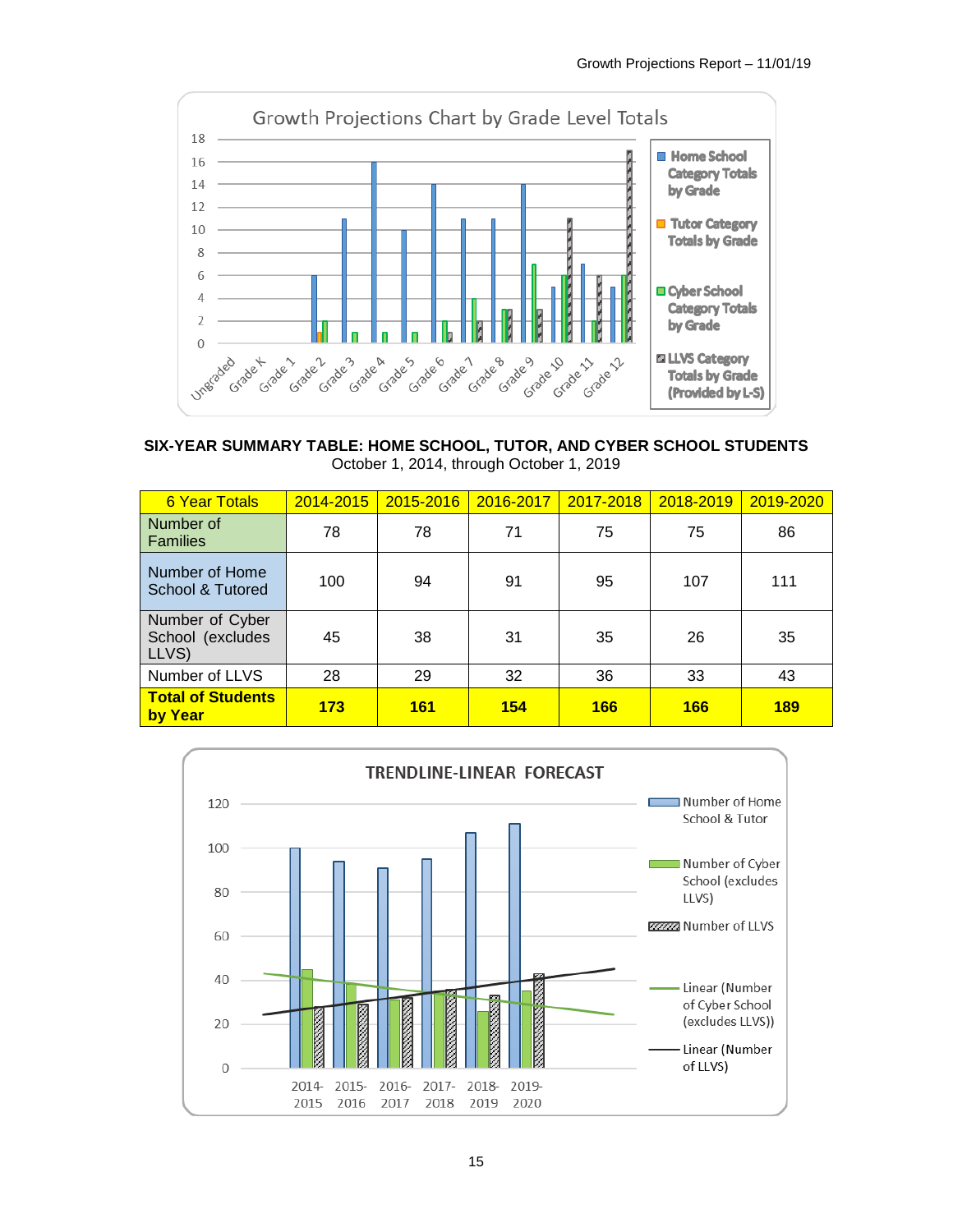

**SIX-YEAR SUMMARY TABLE: HOME SCHOOL, TUTOR, AND CYBER SCHOOL STUDENTS** October 1, 2014, through October 1, 2019

| <b>6 Year Totals</b>                         | 2014-2015 | 2015-2016  | 2016-2017 | 2017-2018  | 2018-2019 | 2019-2020  |
|----------------------------------------------|-----------|------------|-----------|------------|-----------|------------|
| Number of<br><b>Families</b>                 | 78        | 78         | 71        | 75         | 75        | 86         |
| Number of Home<br>School & Tutored           | 100       | 94         | 91        | 95         | 107       | 111        |
| Number of Cyber<br>School (excludes<br>LLVS) | 45        | 38         | 31        | 35         | 26        | 35         |
| Number of LLVS                               | 28        | 29         | 32        | 36         | 33        | 43         |
| <b>Total of Students</b><br>by Year          | 173       | <b>161</b> | 154       | <b>166</b> | 166       | <b>189</b> |

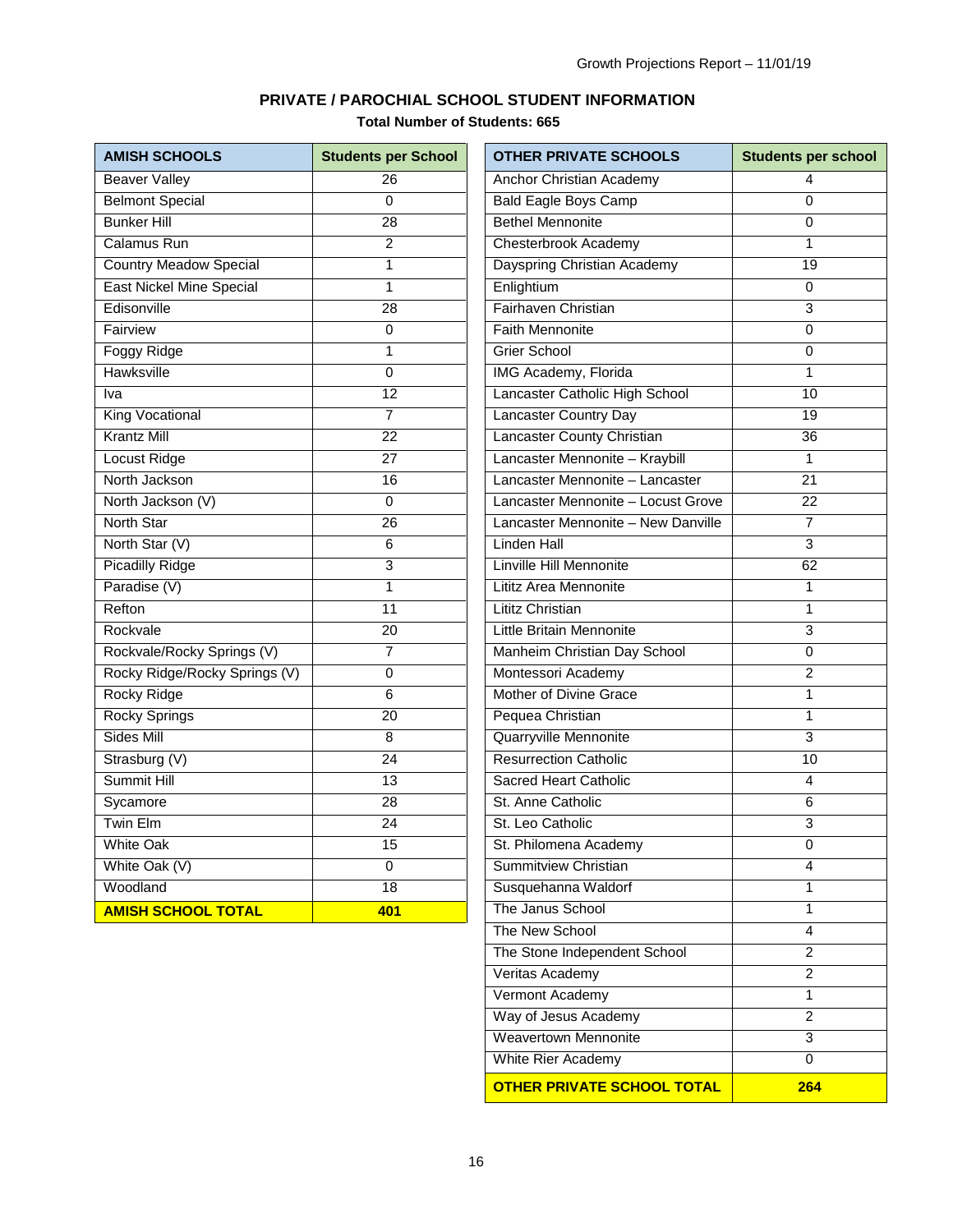# **PRIVATE / PAROCHIAL SCHOOL STUDENT INFORMATION**

**Total Number of Students: 665**

<span id="page-16-0"></span>

| <b>AMISH SCHOOLS</b>            | <b>Students per School</b> | <b>OTHER PRIVATE SCHOOLS</b>       | <b>Students per school</b> |
|---------------------------------|----------------------------|------------------------------------|----------------------------|
| <b>Beaver Valley</b>            | 26                         | Anchor Christian Academy           | 4                          |
| <b>Belmont Special</b>          | $\Omega$                   | <b>Bald Eagle Boys Camp</b>        | $\Omega$                   |
| <b>Bunker Hill</b>              | 28                         | <b>Bethel Mennonite</b>            | $\mathbf 0$                |
| <b>Calamus Run</b>              | $\overline{2}$             | Chesterbrook Academy               | 1                          |
| <b>Country Meadow Special</b>   | 1                          | Dayspring Christian Academy        | 19                         |
| <b>East Nickel Mine Special</b> | 1                          | Enlightium                         | $\mathbf 0$                |
| Edisonville                     | $\overline{28}$            | Fairhaven Christian                | 3                          |
| Fairview                        | 0                          | <b>Faith Mennonite</b>             | $\mathbf 0$                |
| <b>Foggy Ridge</b>              | 1                          | <b>Grier School</b>                | 0                          |
| <b>Hawksville</b>               | 0                          | IMG Academy, Florida               | 1                          |
| Iva                             | 12                         | Lancaster Catholic High School     | 10                         |
| King Vocational                 | $\overline{7}$             | <b>Lancaster Country Day</b>       | 19                         |
| <b>Krantz Mill</b>              | 22                         | Lancaster County Christian         | 36                         |
| Locust Ridge                    | 27                         | Lancaster Mennonite - Kraybill     | $\mathbf{1}$               |
| North Jackson                   | 16                         | Lancaster Mennonite - Lancaster    | 21                         |
| North Jackson (V)               | $\mathbf 0$                | Lancaster Mennonite - Locust Grove | $\overline{22}$            |
| <b>North Star</b>               | $\overline{26}$            | Lancaster Mennonite - New Danville | $\overline{7}$             |
| North Star (V)                  | 6                          | <b>Linden Hall</b>                 | $\overline{3}$             |
| <b>Picadilly Ridge</b>          | 3                          | Linville Hill Mennonite            | 62                         |
| Paradise (V)                    | 1                          | Lititz Area Mennonite              | 1                          |
| Refton                          | 11                         | Lititz Christian                   | $\mathbf{1}$               |
| Rockvale                        | $\overline{20}$            | Little Britain Mennonite           | 3                          |
| Rockvale/Rocky Springs (V)      | 7                          | Manheim Christian Day School       | 0                          |
| Rocky Ridge/Rocky Springs (V)   | 0                          | Montessori Academy                 | $\overline{2}$             |
| <b>Rocky Ridge</b>              | 6                          | Mother of Divine Grace             | 1                          |
| <b>Rocky Springs</b>            | $\overline{20}$            | Pequea Christian                   | 1                          |
| Sides Mill                      | 8                          | Quarryville Mennonite              | 3                          |
| Strasburg (V)                   | $\overline{24}$            | <b>Resurrection Catholic</b>       | 10                         |
| <b>Summit Hill</b>              | $\overline{13}$            | <b>Sacred Heart Catholic</b>       | 4                          |
| Sycamore                        | 28                         | St. Anne Catholic                  | 6                          |
| Twin Elm                        | $\overline{24}$            | St. Leo Catholic                   | 3                          |
| <b>White Oak</b>                | 15                         | St. Philomena Academy              | $\overline{0}$             |
| White Oak (V)                   | 0                          | Summitview Christian               | $\overline{4}$             |
| Woodland                        | $\overline{18}$            | Susquehanna Waldorf                | $\mathbf{1}$               |
| <b>AMISH SCHOOL TOTAL</b>       | 401                        | The Janus School                   | $\mathbf{1}$               |
|                                 |                            | The New School                     | 4                          |
|                                 |                            | The Stone Independent School       | $\mathbf{2}$               |
|                                 |                            | Veritas Academy                    | $\mathbf{2}$               |
|                                 |                            | Vermont Academy                    | 1                          |

Way of Jesus Academy 2 Weavertown Mennonite 3 White Rier Academy 0 **OTHER PRIVATE SCHOOL TOTAL 264**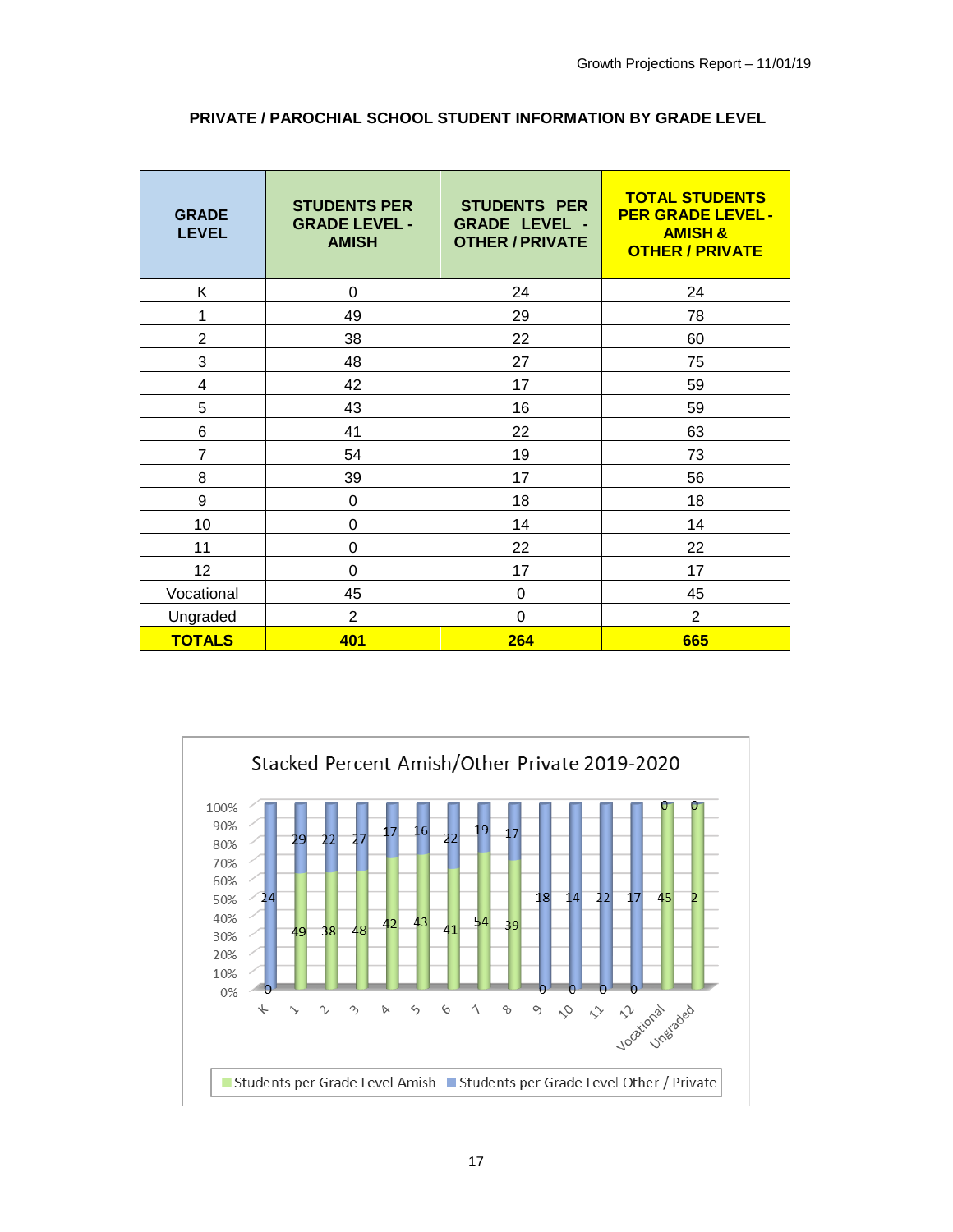| <b>GRADE</b><br><b>LEVEL</b> | <b>STUDENTS PER</b><br><b>GRADE LEVEL -</b><br><b>AMISH</b> | <b>STUDENTS PER</b><br><b>GRADE LEVEL -</b><br><b>OTHER / PRIVATE</b> | <b>TOTAL STUDENTS</b><br><b>PER GRADE LEVEL -</b><br><b>AMISH &amp;</b><br><b>OTHER / PRIVATE</b> |
|------------------------------|-------------------------------------------------------------|-----------------------------------------------------------------------|---------------------------------------------------------------------------------------------------|
| K                            | $\Omega$                                                    | 24                                                                    | 24                                                                                                |
| 1                            | 49                                                          | 29                                                                    | 78                                                                                                |
| $\overline{2}$               | 38                                                          | 22                                                                    | 60                                                                                                |
| 3                            | 48                                                          | 27                                                                    | 75                                                                                                |
| 4                            | 42                                                          | 17                                                                    | 59                                                                                                |
| 5                            | 43                                                          | 16                                                                    | 59                                                                                                |
| 6                            | 41                                                          | 22                                                                    | 63                                                                                                |
| 7                            | 54                                                          | 19                                                                    | 73                                                                                                |
| 8                            | 39                                                          | 17                                                                    | 56                                                                                                |
| 9                            | 0                                                           | 18                                                                    | 18                                                                                                |
| 10                           | 0                                                           | 14                                                                    | 14                                                                                                |
| 11                           | 0                                                           | 22                                                                    | 22                                                                                                |
| 12                           | 0                                                           | 17                                                                    | 17                                                                                                |
| Vocational                   | 45                                                          | 0                                                                     | 45                                                                                                |
| Ungraded                     | $\overline{2}$                                              | 0                                                                     | $\overline{2}$                                                                                    |
| <b>TOTALS</b>                | 401                                                         | 264                                                                   | 665                                                                                               |

# **PRIVATE / PAROCHIAL SCHOOL STUDENT INFORMATION BY GRADE LEVEL**

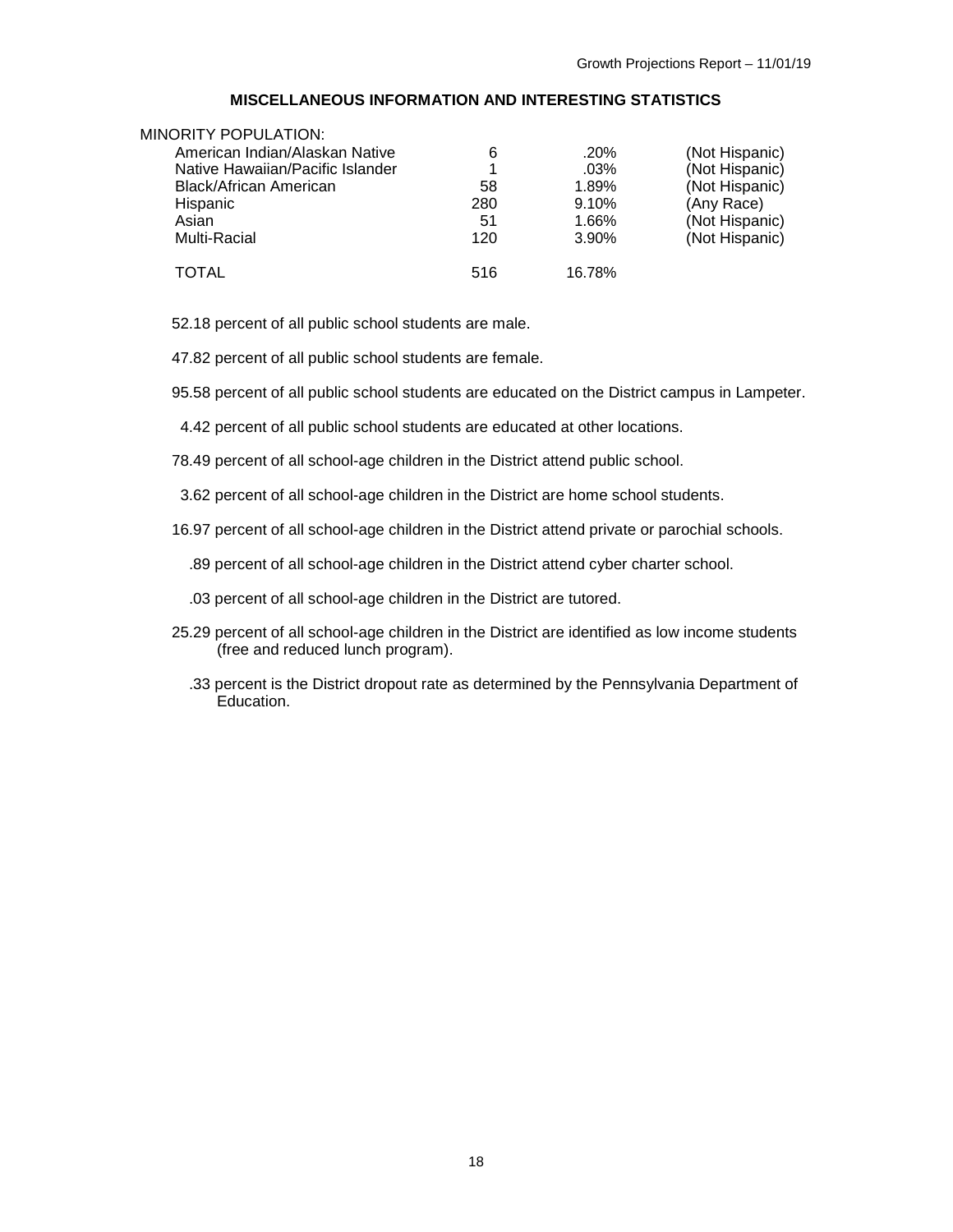### **MISCELLANEOUS INFORMATION AND INTERESTING STATISTICS**

<span id="page-18-0"></span>

| MINORITY POPULATION:             |     |         |                |
|----------------------------------|-----|---------|----------------|
| American Indian/Alaskan Native   | 6   | $.20\%$ | (Not Hispanic) |
| Native Hawaiian/Pacific Islander | 1   | .03%    | (Not Hispanic) |
| <b>Black/African American</b>    | 58  | 1.89%   | (Not Hispanic) |
| <b>Hispanic</b>                  | 280 | 9.10%   | (Any Race)     |
| Asian                            | 51  | 1.66%   | (Not Hispanic) |
| Multi-Racial                     | 120 | 3.90%   | (Not Hispanic) |
| TOTAL                            | 516 | 16.78%  |                |

52.18 percent of all public school students are male.

47.82 percent of all public school students are female.

95.58 percent of all public school students are educated on the District campus in Lampeter.

- 4.42 percent of all public school students are educated at other locations.
- 78.49 percent of all school-age children in the District attend public school.
- 3.62 percent of all school-age children in the District are home school students.
- 16.97 percent of all school-age children in the District attend private or parochial schools.
	- .89 percent of all school-age children in the District attend cyber charter school.
	- .03 percent of all school-age children in the District are tutored.
- 25.29 percent of all school-age children in the District are identified as low income students (free and reduced lunch program).
	- .33 percent is the District dropout rate as determined by the Pennsylvania Department of Education.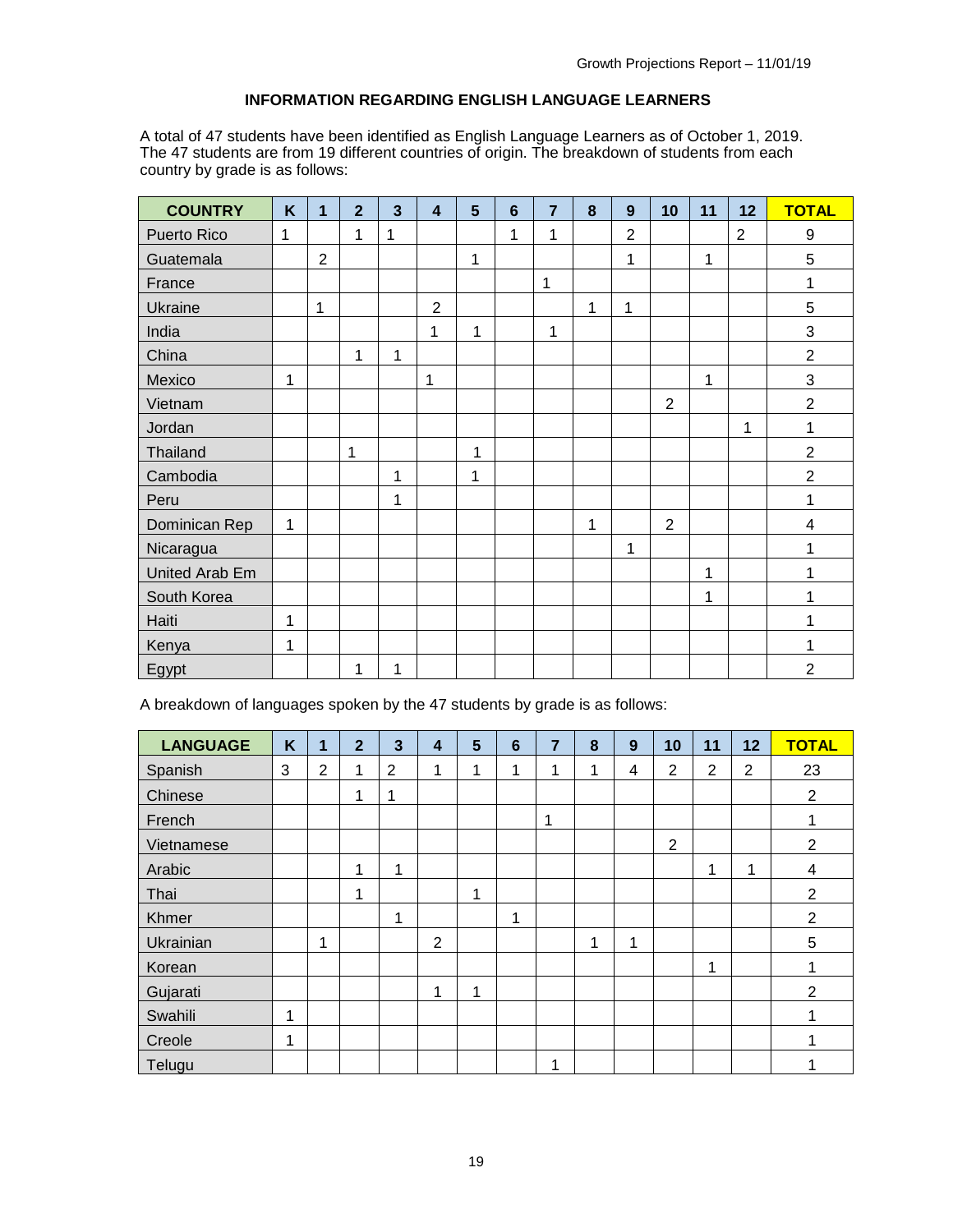# **INFORMATION REGARDING ENGLISH LANGUAGE LEARNERS**

<span id="page-19-0"></span>A total of 47 students have been identified as English Language Learners as of October 1, 2019. The 47 students are from 19 different countries of origin. The breakdown of students from each country by grade is as follows:

| <b>COUNTRY</b>     | K | 1              | $\overline{2}$ | $\overline{\mathbf{3}}$ | $\overline{\mathbf{4}}$ | 5 | $6\phantom{1}6$ | $\overline{7}$ | 8 | 9              | 10             | 11 | 12             | <b>TOTAL</b>              |
|--------------------|---|----------------|----------------|-------------------------|-------------------------|---|-----------------|----------------|---|----------------|----------------|----|----------------|---------------------------|
| <b>Puerto Rico</b> | 1 |                | 1              | 1                       |                         |   | 1               | 1              |   | $\overline{2}$ |                |    | $\overline{2}$ | 9                         |
| Guatemala          |   | $\overline{2}$ |                |                         |                         | 1 |                 |                |   | 1              |                | 1  |                | $\sqrt{5}$                |
| France             |   |                |                |                         |                         |   |                 | $\mathbf{1}$   |   |                |                |    |                | 1                         |
| <b>Ukraine</b>     |   | 1              |                |                         | $\overline{2}$          |   |                 |                | 1 | 1              |                |    |                | 5                         |
| India              |   |                |                |                         | 1                       | 1 |                 | 1              |   |                |                |    |                | $\ensuremath{\mathsf{3}}$ |
| China              |   |                | 1              | 1                       |                         |   |                 |                |   |                |                |    |                | $\overline{2}$            |
| Mexico             | 1 |                |                |                         | 1                       |   |                 |                |   |                |                | 1  |                | 3                         |
| Vietnam            |   |                |                |                         |                         |   |                 |                |   |                | $\overline{2}$ |    |                | $\overline{2}$            |
| Jordan             |   |                |                |                         |                         |   |                 |                |   |                |                |    | 1              | 1                         |
| Thailand           |   |                | 1              |                         |                         | 1 |                 |                |   |                |                |    |                | $\overline{2}$            |
| Cambodia           |   |                |                | 1                       |                         | 1 |                 |                |   |                |                |    |                | $\overline{2}$            |
| Peru               |   |                |                | 1                       |                         |   |                 |                |   |                |                |    |                | 1                         |
| Dominican Rep      | 1 |                |                |                         |                         |   |                 |                | 1 |                | $\overline{2}$ |    |                | $\overline{\mathbf{4}}$   |
| Nicaragua          |   |                |                |                         |                         |   |                 |                |   | 1              |                |    |                | 1                         |
| United Arab Em     |   |                |                |                         |                         |   |                 |                |   |                |                | 1  |                | 1                         |
| South Korea        |   |                |                |                         |                         |   |                 |                |   |                |                | 1  |                | 1                         |
| Haiti              | 1 |                |                |                         |                         |   |                 |                |   |                |                |    |                | 1                         |
| Kenya              | 1 |                |                |                         |                         |   |                 |                |   |                |                |    |                | 1                         |
| Egypt              |   |                | 1              | 1                       |                         |   |                 |                |   |                |                |    |                | $\overline{2}$            |

A breakdown of languages spoken by the 47 students by grade is as follows:

| <b>LANGUAGE</b> | $\mathsf{K}$ | 1              | $\overline{2}$ | $\overline{\mathbf{3}}$ | 4              | 5 | $6\phantom{1}6$ | $\overline{7}$ | 8 | 9 | 10             | 11             | 12             | <b>TOTAL</b>   |
|-----------------|--------------|----------------|----------------|-------------------------|----------------|---|-----------------|----------------|---|---|----------------|----------------|----------------|----------------|
| Spanish         | 3            | $\overline{2}$ | 1              | $\overline{2}$          | 1              | 4 | 4               | 4              | 1 | 4 | $\overline{2}$ | $\overline{2}$ | $\overline{2}$ | 23             |
| Chinese         |              |                | 1              | 1                       |                |   |                 |                |   |   |                |                |                | $\overline{2}$ |
| French          |              |                |                |                         |                |   |                 | 1              |   |   |                |                |                |                |
| Vietnamese      |              |                |                |                         |                |   |                 |                |   |   | $\overline{2}$ |                |                | $\overline{2}$ |
| Arabic          |              |                | 1              | 1                       |                |   |                 |                |   |   |                | 1              | 1              | 4              |
| Thai            |              |                | 1              |                         |                | 1 |                 |                |   |   |                |                |                | $\overline{2}$ |
| Khmer           |              |                |                | 1                       |                |   | 4               |                |   |   |                |                |                | $\overline{2}$ |
| Ukrainian       |              | 4              |                |                         | $\overline{2}$ |   |                 |                | 1 | 1 |                |                |                | 5              |
| Korean          |              |                |                |                         |                |   |                 |                |   |   |                | 1              |                |                |
| Gujarati        |              |                |                |                         | 1              | 1 |                 |                |   |   |                |                |                | $\overline{2}$ |
| Swahili         | 1            |                |                |                         |                |   |                 |                |   |   |                |                |                |                |
| Creole          | 1            |                |                |                         |                |   |                 |                |   |   |                |                |                |                |
| Telugu          |              |                |                |                         |                |   |                 | 1              |   |   |                |                |                |                |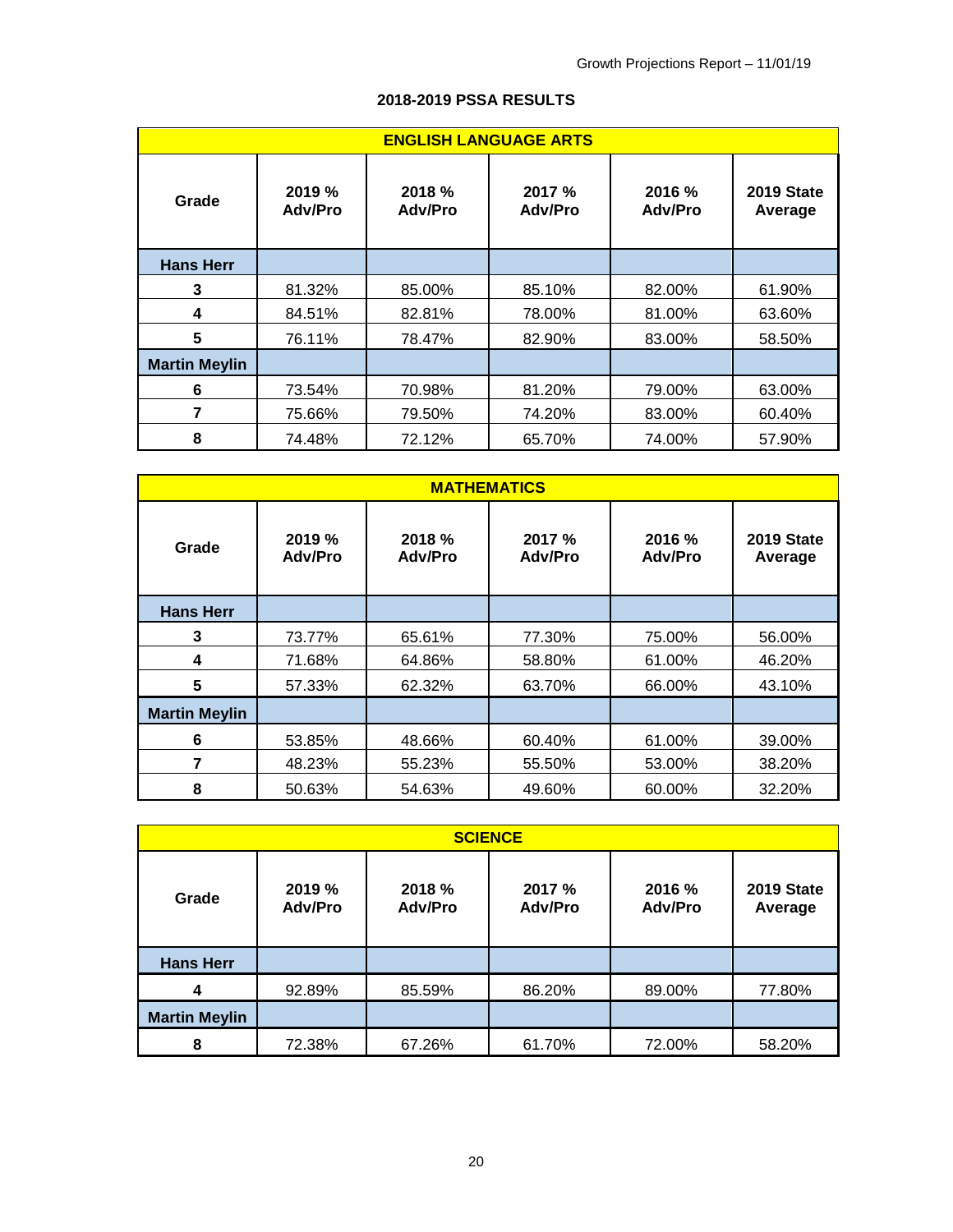| <b>ENGLISH LANGUAGE ARTS</b> |                          |                   |                         |                          |                              |  |  |  |  |  |
|------------------------------|--------------------------|-------------------|-------------------------|--------------------------|------------------------------|--|--|--|--|--|
| Grade                        | 2019 %<br><b>Adv/Pro</b> | 2018 %<br>Adv/Pro | 2017%<br><b>Adv/Pro</b> | 2016 %<br><b>Adv/Pro</b> | <b>2019 State</b><br>Average |  |  |  |  |  |
| <b>Hans Herr</b>             |                          |                   |                         |                          |                              |  |  |  |  |  |
| 3                            | 81.32%                   | 85.00%            | 85.10%                  | 82.00%                   | 61.90%                       |  |  |  |  |  |
| 4                            | 84.51%                   | 82.81%            | 78.00%                  | 81.00%                   | 63.60%                       |  |  |  |  |  |
| 5                            | 76.11%                   | 78.47%            | 82.90%                  | 83.00%                   | 58.50%                       |  |  |  |  |  |
| <b>Martin Meylin</b>         |                          |                   |                         |                          |                              |  |  |  |  |  |
| 6                            | 73.54%                   | 70.98%            | 81.20%                  | 79.00%                   | 63.00%                       |  |  |  |  |  |
| 7                            | 75.66%                   | 79.50%            | 74.20%                  | 83.00%                   | 60.40%                       |  |  |  |  |  |
| 8                            | 74.48%                   | 72.12%            | 65.70%                  | 74.00%                   | 57.90%                       |  |  |  |  |  |

# **2018-2019 PSSA RESULTS**

|                      | <b>MATHEMATICS</b>       |                          |                          |                       |        |  |  |  |  |  |  |
|----------------------|--------------------------|--------------------------|--------------------------|-----------------------|--------|--|--|--|--|--|--|
| Grade                | 2019 %<br><b>Adv/Pro</b> | 2018 %<br><b>Adv/Pro</b> | 2016 %<br><b>Adv/Pro</b> | 2019 State<br>Average |        |  |  |  |  |  |  |
| <b>Hans Herr</b>     |                          |                          |                          |                       |        |  |  |  |  |  |  |
| 3                    | 73.77%                   | 65.61%                   | 77.30%                   | 75.00%                | 56.00% |  |  |  |  |  |  |
| 4                    | 71.68%                   | 64.86%                   | 58.80%                   | 61.00%                | 46.20% |  |  |  |  |  |  |
| 5                    | 57.33%                   | 62.32%                   | 63.70%                   | 66.00%                | 43.10% |  |  |  |  |  |  |
| <b>Martin Meylin</b> |                          |                          |                          |                       |        |  |  |  |  |  |  |
| 6                    | 53.85%                   | 48.66%                   | 60.40%                   | 61.00%                | 39.00% |  |  |  |  |  |  |
| 7                    | 48.23%                   | 55.23%                   | 55.50%                   | 53.00%                | 38.20% |  |  |  |  |  |  |
| 8                    | 50.63%                   | 54.63%                   | 49.60%                   | 60.00%                | 32.20% |  |  |  |  |  |  |

| <b>SCIENCE</b>       |                          |                          |                          |                          |                              |  |  |  |  |
|----------------------|--------------------------|--------------------------|--------------------------|--------------------------|------------------------------|--|--|--|--|
| Grade                | 2019 %<br><b>Adv/Pro</b> | 2018 %<br><b>Adv/Pro</b> | 2017 %<br><b>Adv/Pro</b> | 2016 %<br><b>Adv/Pro</b> | <b>2019 State</b><br>Average |  |  |  |  |
| <b>Hans Herr</b>     |                          |                          |                          |                          |                              |  |  |  |  |
| 4                    | 92.89%                   | 85.59%                   | 86.20%                   | 89.00%                   | 77.80%                       |  |  |  |  |
| <b>Martin Meylin</b> |                          |                          |                          |                          |                              |  |  |  |  |
| 8                    | 72.38%                   | 67.26%                   | 61.70%                   | 72.00%                   | 58.20%                       |  |  |  |  |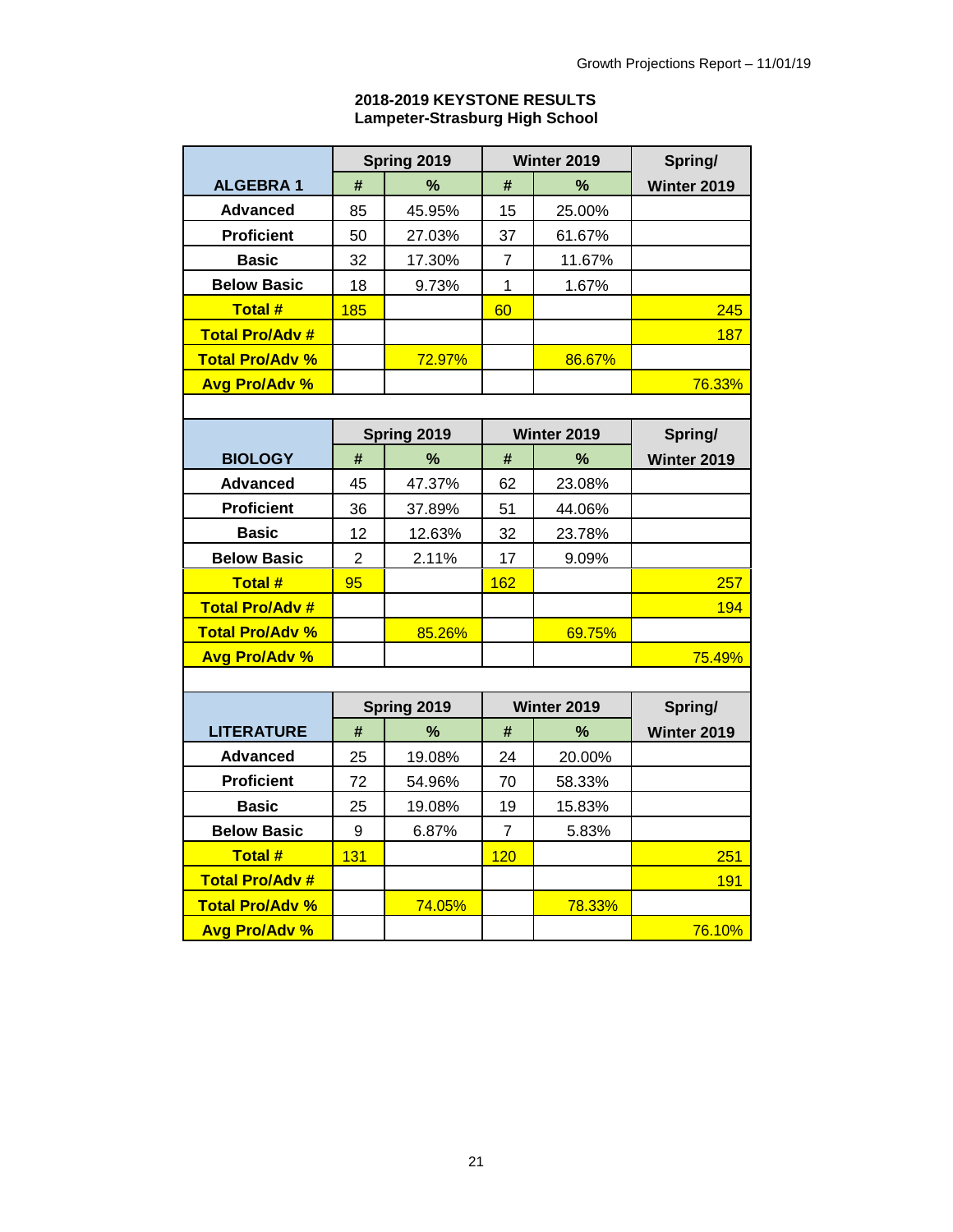## **2018-2019 KEYSTONE RESULTS Lampeter-Strasburg High School**

|                        |                  | Spring 2019 |                | Winter 2019 | Spring/     |  |  |
|------------------------|------------------|-------------|----------------|-------------|-------------|--|--|
| <b>ALGEBRA1</b>        | %<br>#           |             | #              | %           | Winter 2019 |  |  |
| <b>Advanced</b>        | 85               | 45.95%      | 15             | 25.00%      |             |  |  |
| <b>Proficient</b>      | 50               | 27.03%      | 37             | 61.67%      |             |  |  |
| <b>Basic</b>           | 32               | 17.30%      | $\overline{7}$ | 11.67%      |             |  |  |
| <b>Below Basic</b>     | 18               | 9.73%       | $\overline{1}$ | 1.67%       |             |  |  |
| <b>Total#</b>          | 185              |             | 60             |             | 245         |  |  |
| <b>Total Pro/Adv #</b> |                  |             |                |             | 187         |  |  |
| <b>Total Pro/Adv %</b> |                  | 72.97%      |                | 86.67%      |             |  |  |
| <b>Avg Pro/Adv %</b>   |                  |             |                |             | 76.33%      |  |  |
|                        |                  |             |                |             |             |  |  |
|                        |                  | Spring 2019 |                | Winter 2019 | Spring/     |  |  |
| <b>BIOLOGY</b>         | #                | %           | #              | %           | Winter 2019 |  |  |
| <b>Advanced</b>        | 45               | 47.37%      | 62             | 23.08%      |             |  |  |
| <b>Proficient</b>      | 36               | 37.89%      | 51             | 44.06%      |             |  |  |
| <b>Basic</b>           | 12               | 12.63%      | 32             | 23.78%      |             |  |  |
| <b>Below Basic</b>     | $\overline{2}$   | 2.11%       | 17             | 9.09%       |             |  |  |
| <b>Total#</b>          | 95               |             | 162            |             | 257         |  |  |
| <b>Total Pro/Adv #</b> |                  |             |                |             | 194         |  |  |
| <b>Total Pro/Adv %</b> |                  | 85.26%      |                | 69.75%      |             |  |  |
| <b>Avg Pro/Adv %</b>   |                  |             |                |             | 75.49%      |  |  |
|                        |                  |             |                |             |             |  |  |
|                        | Spring 2019      |             |                | Winter 2019 | Spring/     |  |  |
| <b>LITERATURE</b>      | #                | %           | #              | %           | Winter 2019 |  |  |
| <b>Advanced</b>        | 25               | 19.08%      | 24             | 20.00%      |             |  |  |
| <b>Proficient</b>      | 72               | 54.96%      | 70             | 58.33%      |             |  |  |
| <b>Basic</b>           | 25               | 19.08%      | 19             | 15.83%      |             |  |  |
| <b>Below Basic</b>     | $\boldsymbol{9}$ | 6.87%       | $\overline{7}$ | 5.83%       |             |  |  |
| <b>Total#</b>          | 131              |             | 120            |             | 251         |  |  |
| <b>Total Pro/Adv #</b> |                  |             |                |             | 191         |  |  |
| <b>Total Pro/Adv %</b> |                  | 74.05%      |                | 78.33%      |             |  |  |
| Avg Pro/Adv %          |                  |             |                |             | 76.10%      |  |  |